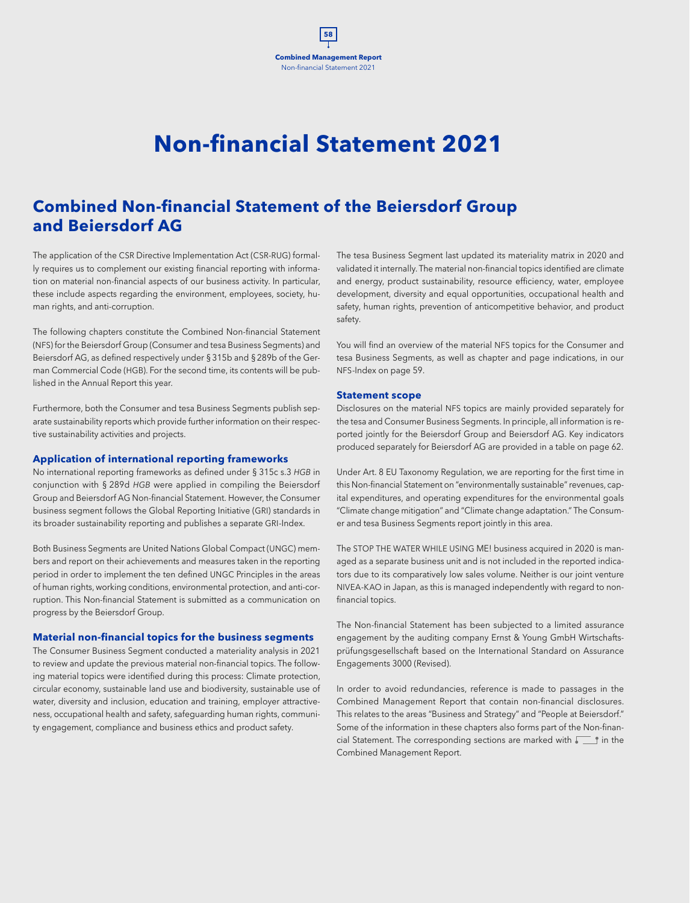# **Non-financial Statement 2021**

**Combined Management Report 58**

Non-financial Statement 2021

## **Combined Non-financial Statement of the Beiersdorf Group and Beiersdorf AG**

The application of the CSR Directive Implementation Act (CSR-RUG) formally requires us to complement our existing financial reporting with information on material non-financial aspects of our business activity. In particular, these include aspects regarding the environment, employees, society, human rights, and anti-corruption.

The following chapters constitute the Combined Non-financial Statement (NFS) for the Beiersdorf Group (Consumer and tesa Business Segments) and Beiersdorf AG, as defined respectively under §315b and §289b of the German Commercial Code (HGB). For the second time, its contents will be published in the Annual Report this year.

Furthermore, both the Consumer and tesa Business Segments publish separate sustainability reports which provide further information on their respective sustainability activities and projects.

#### **Application of international reporting frameworks**

No international reporting frameworks as defined under § 315c s.3 *HGB* in conjunction with § 289d *HGB* were applied in compiling the Beiersdorf Group and Beiersdorf AG Non-financial Statement. However, the Consumer business segment follows the Global Reporting Initiative (GRI) standards in its broader sustainability reporting and publishes a separate GRI-Index.

Both Business Segments are United Nations Global Compact (UNGC) members and report on their achievements and measures taken in the reporting period in order to implement the ten defined UNGC Principles in the areas of human rights, working conditions, environmental protection, and anti-corruption. This Non-financial Statement is submitted as a communication on progress by the Beiersdorf Group.

#### **Material non-financial topics for the business segments**

The Consumer Business Segment conducted a materiality analysis in 2021 to review and update the previous material non-financial topics. The following material topics were identified during this process: Climate protection, circular economy, sustainable land use and biodiversity, sustainable use of water, diversity and inclusion, education and training, employer attractiveness, occupational health and safety, safeguarding human rights, community engagement, compliance and business ethics and product safety.

The tesa Business Segment last updated its materiality matrix in 2020 and validated it internally. The material non-financial topics identified are climate and energy, product sustainability, resource efficiency, water, employee development, diversity and equal opportunities, occupational health and safety, human rights, prevention of anticompetitive behavior, and product safety.

You will find an overview of the material NFS topics for the Consumer and tesa Business Segments, as well as chapter and page indications, in our NFS-Index on page 59.

#### **Statement scope**

Disclosures on the material NFS topics are mainly provided separately for the tesa and Consumer Business Segments. In principle, all information is reported jointly for the Beiersdorf Group and Beiersdorf AG. Key indicators produced separately for Beiersdorf AG are provided in a table on page 62.

Under Art. 8 EU Taxonomy Regulation, we are reporting for the first time in this Non-financial Statement on "environmentally sustainable" revenues, capital expenditures, and operating expenditures for the environmental goals "Climate change mitigation" and "Climate change adaptation." The Consumer and tesa Business Segments report jointly in this area.

The STOP THE WATER WHILE USING ME! business acquired in 2020 is managed as a separate business unit and is not included in the reported indicators due to its comparatively low sales volume. Neither is our joint venture NIVEA-KAO in Japan, as this is managed independently with regard to nonfinancial topics.

The Non-financial Statement has been subjected to a limited assurance engagement by the auditing company Ernst & Young GmbH Wirtschaftsprüfungsgesellschaft based on the International Standard on Assurance Engagements 3000 (Revised).

In order to avoid redundancies, reference is made to passages in the Combined Management Report that contain non-financial disclosures. This relates to the areas "Business and Strategy" and "People at Beiersdorf." Some of the information in these chapters also forms part of the Non-financial Statement. The corresponding sections are marked with  $\sqrt{\phantom{a}}\,\mathbf{r}$  in the Combined Management Report.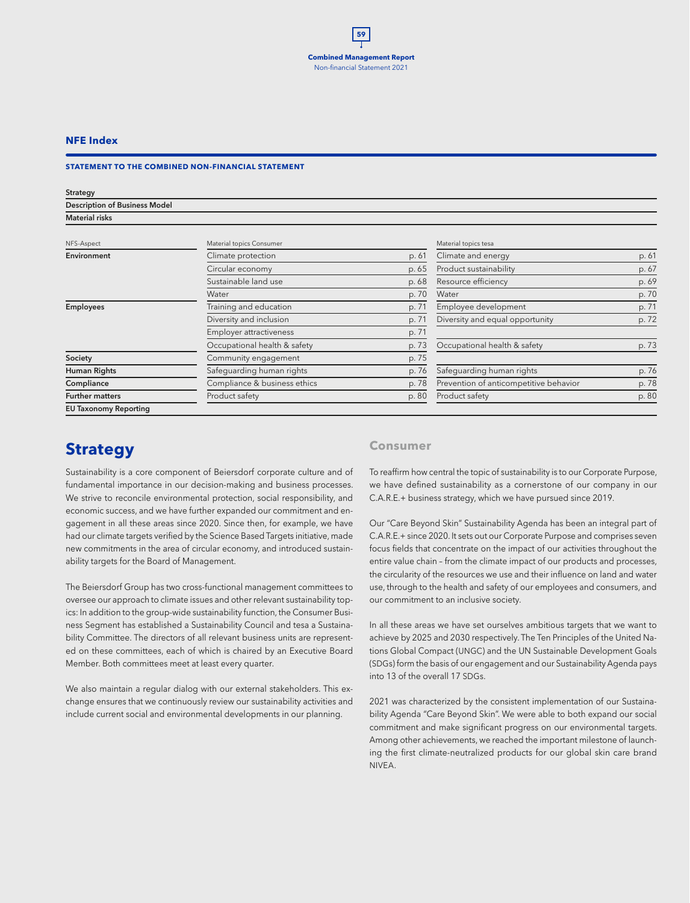## **NFE Index**

#### **STATEMENT TO THE COMBINED NON-FINANCIAL STATEMENT**

| Strategy                             |                              |       |                                        |       |
|--------------------------------------|------------------------------|-------|----------------------------------------|-------|
| <b>Description of Business Model</b> |                              |       |                                        |       |
| <b>Material risks</b>                |                              |       |                                        |       |
| NFS-Aspect                           | Material topics Consumer     |       | Material topics tesa                   |       |
| Environment                          | Climate protection           | p. 61 | Climate and energy                     | p. 61 |
|                                      | Circular economy             | p. 65 | Product sustainability                 | p. 67 |
|                                      | Sustainable land use         | p. 68 | Resource efficiency                    | p. 69 |
|                                      | Water                        | p. 70 | Water                                  | p. 70 |
| <b>Employees</b>                     | Training and education       | p. 71 | Employee development                   | p. 71 |
|                                      | Diversity and inclusion      | p. 71 | Diversity and equal opportunity        | p. 72 |
|                                      | Employer attractiveness      | p. 71 |                                        |       |
|                                      | Occupational health & safety | p. 73 | Occupational health & safety           | p. 73 |
| Society                              | Community engagement         | p. 75 |                                        |       |
| Human Rights                         | Safeguarding human rights    | p.76  | Safequarding human rights              | p. 76 |
| Compliance                           | Compliance & business ethics | p. 78 | Prevention of anticompetitive behavior | p. 78 |
| <b>Further matters</b>               | Product safety               | p. 80 | Product safety                         | p. 80 |
| <b>EU Taxonomy Reporting</b>         |                              |       |                                        |       |

## **Strategy**

Sustainability is a core component of Beiersdorf corporate culture and of fundamental importance in our decision-making and business processes. We strive to reconcile environmental protection, social responsibility, and economic success, and we have further expanded our commitment and engagement in all these areas since 2020. Since then, for example, we have had our climate targets verified by the Science Based Targets initiative, made new commitments in the area of circular economy, and introduced sustainability targets for the Board of Management.

The Beiersdorf Group has two cross-functional management committees to oversee our approach to climate issues and other relevant sustainability topics: In addition to the group-wide sustainability function, the Consumer Business Segment has established a Sustainability Council and tesa a Sustainability Committee. The directors of all relevant business units are represented on these committees, each of which is chaired by an Executive Board Member. Both committees meet at least every quarter.

We also maintain a regular dialog with our external stakeholders. This exchange ensures that we continuously review our sustainability activities and include current social and environmental developments in our planning.

## **Consumer**

To reaffirm how central the topic of sustainability is to our Corporate Purpose, we have defined sustainability as a cornerstone of our company in our C.A.R.E.+ business strategy, which we have pursued since 2019.

Our "Care Beyond Skin" Sustainability Agenda has been an integral part of C.A.R.E.+ since 2020. It sets out our Corporate Purpose and comprises seven focus fields that concentrate on the impact of our activities throughout the entire value chain – from the climate impact of our products and processes, the circularity of the resources we use and their influence on land and water use, through to the health and safety of our employees and consumers, and our commitment to an inclusive society.

In all these areas we have set ourselves ambitious targets that we want to achieve by 2025 and 2030 respectively. The Ten Principles of the United Nations Global Compact (UNGC) and the UN Sustainable Development Goals (SDGs) form the basis of our engagement and our Sustainability Agenda pays into 13 of the overall 17 SDGs.

2021 was characterized by the consistent implementation of our Sustainability Agenda "Care Beyond Skin". We were able to both expand our social commitment and make significant progress on our environmental targets. Among other achievements, we reached the important milestone of launching the first climate-neutralized products for our global skin care brand NIVEA.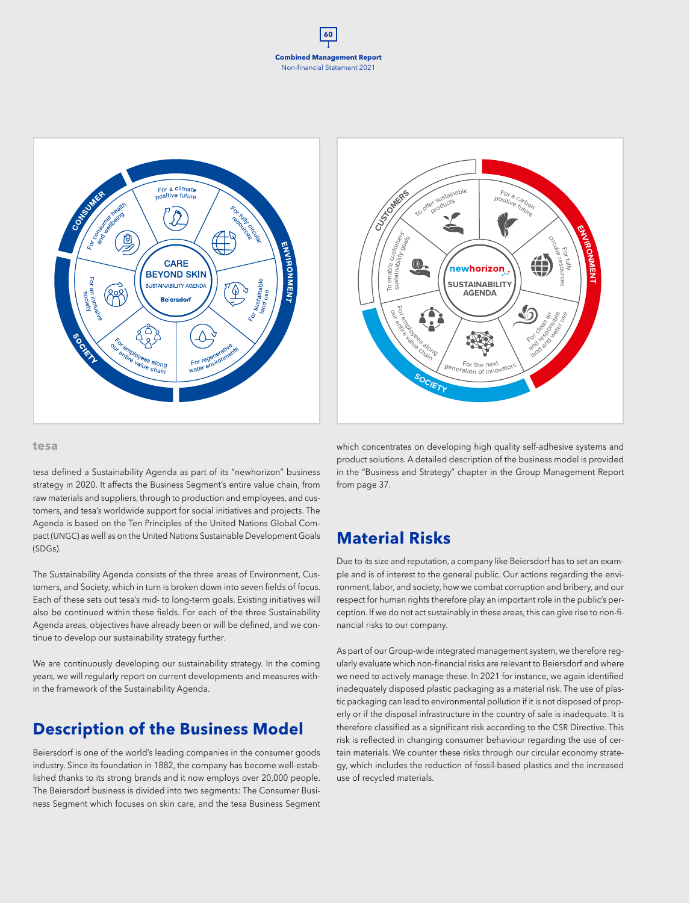





#### **tesa**

tesa defined a Sustainability Agenda as part of its "newhorizon" business strategy in 2020. It affects the Business Segment's entire value chain, from raw materials and suppliers, through to production and employees, and customers, and tesa's worldwide support for social initiatives and projects. The Agenda is based on the Ten Principles of the United Nations Global Compact (UNGC) as well as on the United Nations Sustainable Development Goals (SDGs).

The Sustainability Agenda consists of the three areas of Environment, Customers, and Society, which in turn is broken down into seven fields of focus. Each of these sets out tesa's mid- to long-term goals. Existing initiatives will also be continued within these fields. For each of the three Sustainability Agenda areas, objectives have already been or will be defined, and we continue to develop our sustainability strategy further.

We are continuously developing our sustainability strategy. In the coming years, we will regularly report on current developments and measures within the framework of the Sustainability Agenda.

## **Description of the Business Model**

Beiersdorf is one of the world's leading companies in the consumer goods industry. Since its foundation in 1882, the company has become well-established thanks to its strong brands and it now employs over 20,000 people. The Beiersdorf business is divided into two segments: The Consumer Business Segment which focuses on skin care, and the tesa Business Segment

which concentrates on developing high quality self-adhesive systems and product solutions. A detailed description of the business model is provided in the "Business and Strategy" chapter in the Group Management Report from page 37.

## **Material Risks**

Due to its size and reputation, a company like Beiersdorf has to set an example and is of interest to the general public. Our actions regarding the environment, labor, and society, how we combat corruption and bribery, and our respect for human rights therefore play an important role in the public's perception. If we do not act sustainably in these areas, this can give rise to non-financial risks to our company.

As part of our Group-wide integrated management system, we therefore regularly evaluate which non-financial risks are relevant to Beiersdorf and where we need to actively manage these. In 2021 for instance, we again identified inadequately disposed plastic packaging as a material risk. The use of plastic packaging can lead to environmental pollution if it is not disposed of properly or if the disposal infrastructure in the country of sale is inadequate. It is therefore classified as a significant risk according to the CSR Directive. This risk is reflected in changing consumer behaviour regarding the use of certain materials. We counter these risks through our circular economy strategy, which includes the reduction of fossil-based plastics and the increased use of recycled materials.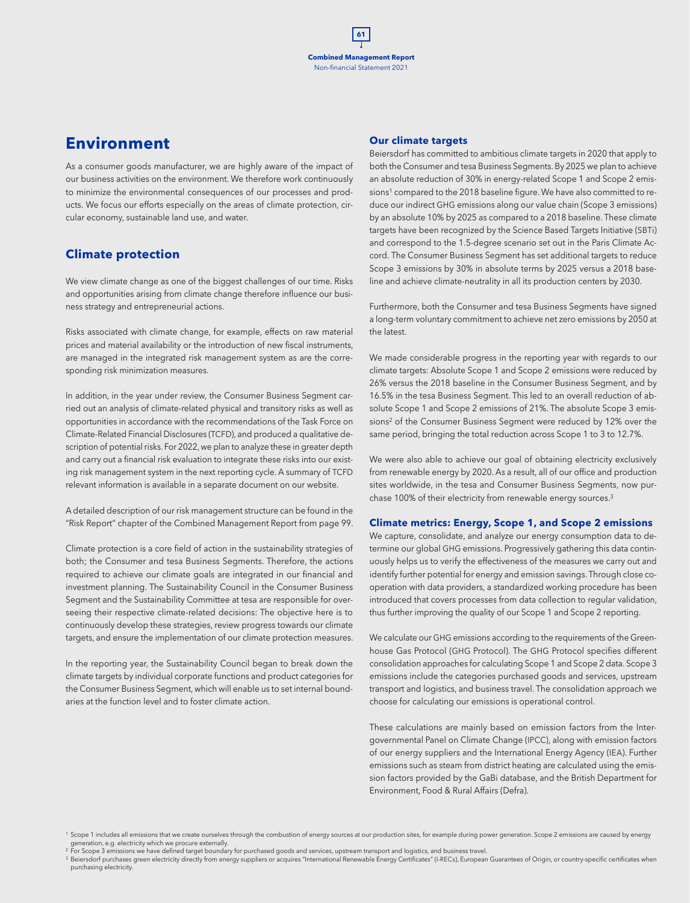## **Environment**

As a consumer goods manufacturer, we are highly aware of the impact of our business activities on the environment. We therefore work continuously to minimize the environmental consequences of our processes and products. We focus our efforts especially on the areas of climate protection, circular economy, sustainable land use, and water.

## **Climate protection**

We view climate change as one of the biggest challenges of our time. Risks and opportunities arising from climate change therefore influence our business strategy and entrepreneurial actions.

Risks associated with climate change, for example, effects on raw material prices and material availability or the introduction of new fiscal instruments, are managed in the integrated risk management system as are the corresponding risk minimization measures.

In addition, in the year under review, the Consumer Business Segment carried out an analysis of climate-related physical and transitory risks as well as opportunities in accordance with the recommendations of the Task Force on Climate-Related Financial Disclosures (TCFD), and produced a qualitative description of potential risks. For 2022, we plan to analyze these in greater depth and carry out a financial risk evaluation to integrate these risks into our existing risk management system in the next reporting cycle. A summary of TCFD relevant information is available in a separate document on our website.

A detailed description of our risk management structure can be found in the "Risk Report" chapter of the Combined Management Report from page 99.

Climate protection is a core field of action in the sustainability strategies of both; the Consumer and tesa Business Segments. Therefore, the actions required to achieve our climate goals are integrated in our financial and investment planning. The Sustainability Council in the Consumer Business Segment and the Sustainability Committee at tesa are responsible for overseeing their respective climate-related decisions: The objective here is to continuously develop these strategies, review progress towards our climate targets, and ensure the implementation of our climate protection measures.

In the reporting year, the Sustainability Council began to break down the climate targets by individual corporate functions and product categories for the Consumer Business Segment, which will enable us to set internal boundaries at the function level and to foster climate action.

#### **Our climate targets**

Beiersdorf has committed to ambitious climate targets in 2020 that apply to both the Consumer and tesa Business Segments. By 2025 we plan to achieve an absolute reduction of 30% in energy-related Scope 1 and Scope 2 emissions<sup>1</sup> compared to the 2018 baseline figure. We have also committed to reduce our indirect GHG emissions along our value chain (Scope 3 emissions) by an absolute 10% by 2025 as compared to a 2018 baseline. These climate targets have been recognized by the Science Based Targets Initiative (SBTi) and correspond to the 1.5-degree scenario set out in the Paris Climate Accord. The Consumer Business Segment has set additional targets to reduce Scope 3 emissions by 30% in absolute terms by 2025 versus a 2018 baseline and achieve climate-neutrality in all its production centers by 2030.

Furthermore, both the Consumer and tesa Business Segments have signed a long-term voluntary commitment to achieve net zero emissions by 2050 at the latest.

We made considerable progress in the reporting year with regards to our climate targets: Absolute Scope 1 and Scope 2 emissions were reduced by 26% versus the 2018 baseline in the Consumer Business Segment, and by 16.5% in the tesa Business Segment. This led to an overall reduction of absolute Scope 1 and Scope 2 emissions of 21%. The absolute Scope 3 emissions2 of the Consumer Business Segment were reduced by 12% over the same period, bringing the total reduction across Scope 1 to 3 to 12.7%.

We were also able to achieve our goal of obtaining electricity exclusively from renewable energy by 2020. As a result, all of our office and production sites worldwide, in the tesa and Consumer Business Segments, now purchase 100% of their electricity from renewable energy sources.<sup>3</sup>

#### **Climate metrics: Energy, Scope 1, and Scope 2 emissions**

We capture, consolidate, and analyze our energy consumption data to determine our global GHG emissions. Progressively gathering this data continuously helps us to verify the effectiveness of the measures we carry out and identify further potential for energy and emission savings. Through close cooperation with data providers, a standardized working procedure has been introduced that covers processes from data collection to regular validation, thus further improving the quality of our Scope 1 and Scope 2 reporting.

We calculate our GHG emissions according to the requirements of the Greenhouse Gas Protocol (GHG Protocol). The GHG Protocol specifies different consolidation approaches for calculating Scope 1 and Scope 2 data. Scope 3 emissions include the categories purchased goods and services, upstream transport and logistics, and business travel. The consolidation approach we choose for calculating our emissions is operational control.

These calculations are mainly based on emission factors from the Intergovernmental Panel on Climate Change (IPCC), along with emission factors of our energy suppliers and the International Energy Agency (IEA). Further emissions such as steam from district heating are calculated using the emission factors provided by the GaBi database, and the British Department for Environment, Food & Rural Affairs (Defra).

<sup>1</sup> Scope 1 includes all emissions that we create ourselves through the combustion of energy sources at our production sites, for example during power generation. Scope 2 emissions are caused by energy

generation, e.g. electricity which we procure externally.<br><sup>2</sup> For Scope 3 emissions we have defined target boundary for purchased goods and services, upstream transport and logistics, and business travel.<br><sup>3</sup> Beiersdof pur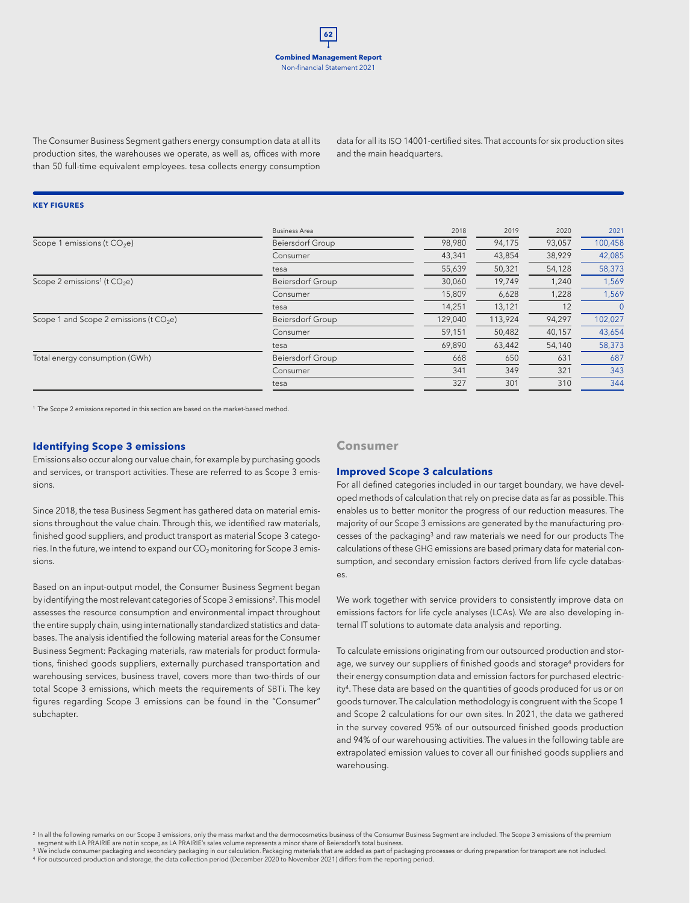The Consumer Business Segment gathers energy consumption data at all its production sites, the warehouses we operate, as well as, offices with more than 50 full-time equivalent employees. tesa collects energy consumption

data for all its ISO 14001-certified sites. That accounts for six production sites and the main headquarters.

#### **KEY FIGURES**

| 98,980  | 94,175  | 93,057 |         |
|---------|---------|--------|---------|
|         |         |        | 100,458 |
|         | 43,854  | 38,929 | 42,085  |
| 55,639  | 50,321  | 54,128 | 58,373  |
| 30,060  | 19,749  | 1,240  | 1,569   |
| 15,809  | 6,628   | 1,228  | 1,569   |
| 14,251  | 13,121  | 12     | 0       |
| 129,040 | 113,924 | 94,297 | 102,027 |
| 59,151  | 50,482  | 40,157 | 43,654  |
| 69,890  | 63,442  | 54,140 | 58,373  |
| 668     | 650     | 631    | 687     |
| 341     | 349     | 321    | 343     |
| 327     | 301     | 310    | 344     |
|         | 43,341  |        |         |

<sup>1</sup> The Scope 2 emissions reported in this section are based on the market-based method.

#### **Identifying Scope 3 emissions**

Emissions also occur along our value chain, for example by purchasing goods and services, or transport activities. These are referred to as Scope 3 emissions.

Since 2018, the tesa Business Segment has gathered data on material emissions throughout the value chain. Through this, we identified raw materials, finished good suppliers, and product transport as material Scope 3 categories. In the future, we intend to expand our  $CO_2$  monitoring for Scope 3 emissions.

Based on an input-output model, the Consumer Business Segment began by identifying the most relevant categories of Scope 3 emissions2. This model assesses the resource consumption and environmental impact throughout the entire supply chain, using internationally standardized statistics and databases. The analysis identified the following material areas for the Consumer Business Segment: Packaging materials, raw materials for product formulations, finished goods suppliers, externally purchased transportation and warehousing services, business travel, covers more than two-thirds of our total Scope 3 emissions, which meets the requirements of SBTi. The key figures regarding Scope 3 emissions can be found in the "Consumer" subchapter.

## **Consumer**

#### **Improved Scope 3 calculations**

For all defined categories included in our target boundary, we have developed methods of calculation that rely on precise data as far as possible. This enables us to better monitor the progress of our reduction measures. The majority of our Scope 3 emissions are generated by the manufacturing processes of the packaging3 and raw materials we need for our products The calculations of these GHG emissions are based primary data for material consumption, and secondary emission factors derived from life cycle databases.

We work together with service providers to consistently improve data on emissions factors for life cycle analyses (LCAs). We are also developing internal IT solutions to automate data analysis and reporting.

To calculate emissions originating from our outsourced production and storage, we survey our suppliers of finished goods and storage<sup>4</sup> providers for their energy consumption data and emission factors for purchased electricity4. These data are based on the quantities of goods produced for us or on goods turnover. The calculation methodology is congruent with the Scope 1 and Scope 2 calculations for our own sites. In 2021, the data we gathered in the survey covered 95% of our outsourced finished goods production and 94% of our warehousing activities. The values in the following table are extrapolated emission values to cover all our finished goods suppliers and warehousing.

<sup>2</sup> In all the following remarks on our Scope 3 emissions, only the mass market and the dermocosmetics business of the Consumer Business Segment are included. The Scope 3 emissions of the premium segment with LA PRAIRIE are not in scope, as LA PRAIRIE's sales volume represents a minor share of Beiersdorf's total business.

<sup>3</sup> We include consumer packaging and secondary packaging in our calculation. Packaging materials that are added as part of packaging processes or during preparation for transport are not included.<br><sup>4</sup> For outsourced produ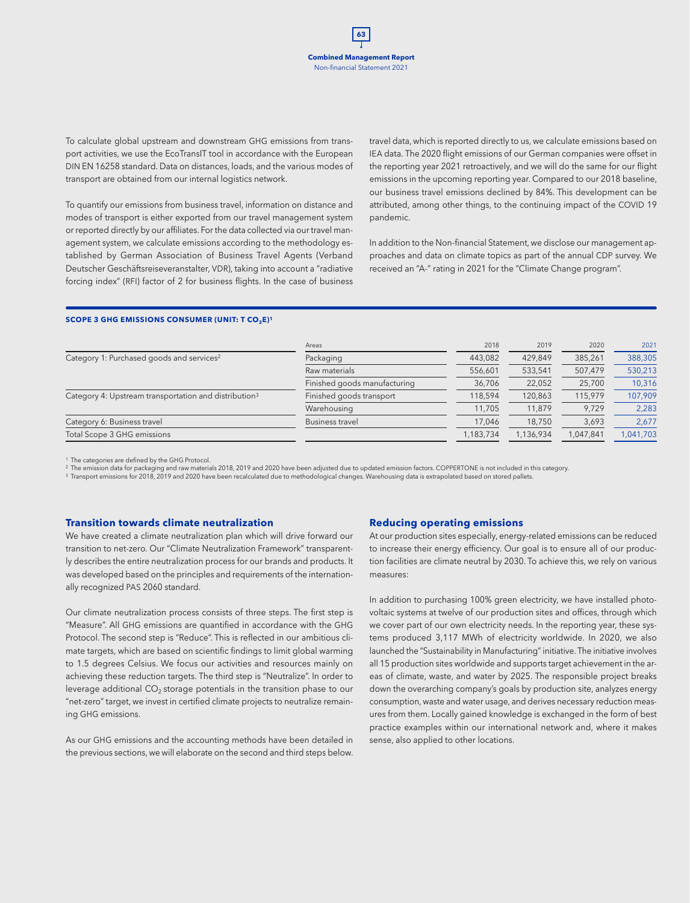To calculate global upstream and downstream GHG emissions from transport activities, we use the EcoTransIT tool in accordance with the European DIN EN 16258 standard. Data on distances, loads, and the various modes of transport are obtained from our internal logistics network.

To quantify our emissions from business travel, information on distance and modes of transport is either exported from our travel management system or reported directly by our affiliates. For the data collected via our travel management system, we calculate emissions according to the methodology established by German Association of Business Travel Agents (Verband Deutscher Geschäftsreiseveranstalter, VDR), taking into account a "radiative forcing index" (RFI) factor of 2 for business flights. In the case of business travel data, which is reported directly to us, we calculate emissions based on IEA data. The 2020 flight emissions of our German companies were offset in the reporting year 2021 retroactively, and we will do the same for our flight emissions in the upcoming reporting year. Compared to our 2018 baseline, our business travel emissions declined by 84%. This development can be attributed, among other things, to the continuing impact of the COVID 19 pandemic.

In addition to the Non-financial Statement, we disclose our management approaches and data on climate topics as part of the annual CDP survey. We received an "A-" rating in 2021 for the "Climate Change program".

#### **SCOPE 3 GHG EMISSIONS CONSUMER (UNIT: T CO2E)<sup>1</sup>**

| Areas                        |           | 2019      | 2020      | 2021      |
|------------------------------|-----------|-----------|-----------|-----------|
| Packaging                    | 443.082   | 429.849   | 385,261   | 388,305   |
| Raw materials                | 556.601   | 533,541   | 507,479   | 530,213   |
| Finished goods manufacturing | 36,706    | 22,052    | 25,700    | 10,316    |
| Finished goods transport     | 118.594   | 120,863   | 115,979   | 107,909   |
| Warehousing                  | 11,705    | 11.879    | 9.729     | 2,283     |
| Business travel              | 17.046    | 18.750    | 3,693     | 2,677     |
|                              | 1,183,734 | 1.136.934 | 1,047,841 | 1,041,703 |
|                              |           | 2018      |           |           |

<sup>1</sup> The categories are defined by the GHG Protocol.

<sup>2</sup> The emission data for packaging and raw materials 2018, 2019 and 2020 have been adjusted due to updated emission factors. COPPERTONE is not included in this category.<br><sup>3</sup> Transport emissions for 2018, 2019 and 2020 hav

#### **Transition towards climate neutralization**

We have created a climate neutralization plan which will drive forward our transition to net-zero. Our "Climate Neutralization Framework" transparently describes the entire neutralization process for our brands and products. It was developed based on the principles and requirements of the internationally recognized PAS 2060 standard.

Our climate neutralization process consists of three steps. The first step is "Measure". All GHG emissions are quantified in accordance with the GHG Protocol. The second step is "Reduce". This is reflected in our ambitious climate targets, which are based on scientific findings to limit global warming to 1.5 degrees Celsius. We focus our activities and resources mainly on achieving these reduction targets. The third step is "Neutralize". In order to leverage additional  $CO<sub>2</sub>$  storage potentials in the transition phase to our "net-zero" target, we invest in certified climate projects to neutralize remaining GHG emissions.

As our GHG emissions and the accounting methods have been detailed in the previous sections, we will elaborate on the second and third steps below.

#### **Reducing operating emissions**

At our production sites especially, energy-related emissions can be reduced to increase their energy efficiency. Our goal is to ensure all of our production facilities are climate neutral by 2030. To achieve this, we rely on various measures:

In addition to purchasing 100% green electricity, we have installed photovoltaic systems at twelve of our production sites and offices, through which we cover part of our own electricity needs. In the reporting year, these systems produced 3,117 MWh of electricity worldwide. In 2020, we also launched the "Sustainability in Manufacturing" initiative. The initiative involves all 15 production sites worldwide and supports target achievement in the areas of climate, waste, and water by 2025. The responsible project breaks down the overarching company's goals by production site, analyzes energy consumption, waste and water usage, and derives necessary reduction measures from them. Locally gained knowledge is exchanged in the form of best practice examples within our international network and, where it makes sense, also applied to other locations.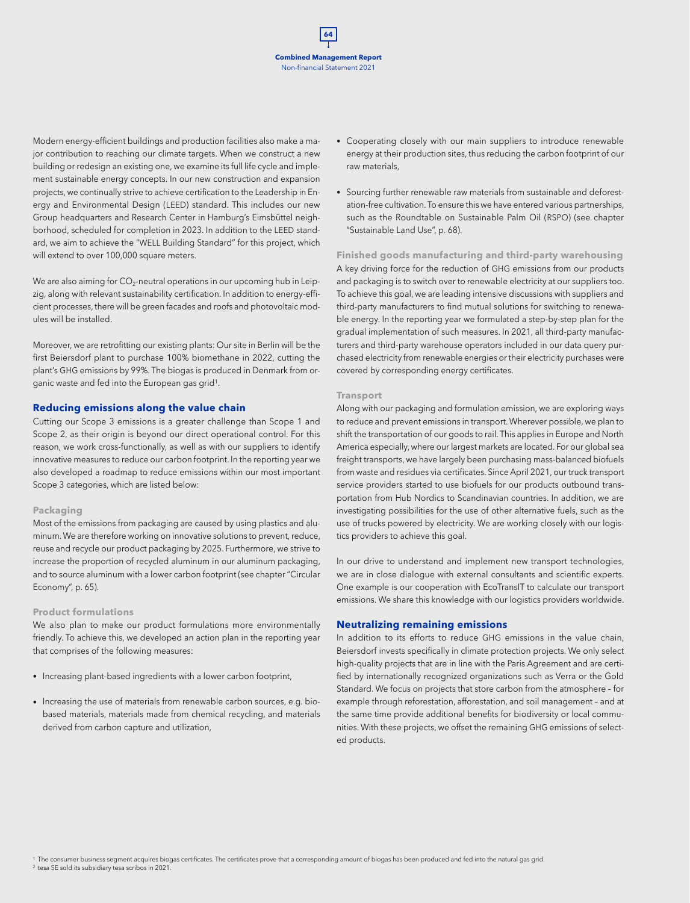Modern energy-efficient buildings and production facilities also make a major contribution to reaching our climate targets. When we construct a new building or redesign an existing one, we examine its full life cycle and implement sustainable energy concepts. In our new construction and expansion projects, we continually strive to achieve certification to the Leadership in Energy and Environmental Design (LEED) standard. This includes our new Group headquarters and Research Center in Hamburg's Eimsbüttel neighborhood, scheduled for completion in 2023. In addition to the LEED standard, we aim to achieve the "WELL Building Standard" for this project, which will extend to over 100,000 square meters.

We are also aiming for  $CO<sub>2</sub>$ -neutral operations in our upcoming hub in Leipzig, along with relevant sustainability certification. In addition to energy-efficient processes, there will be green facades and roofs and photovoltaic modules will be installed.

Moreover, we are retrofitting our existing plants: Our site in Berlin will be the first Beiersdorf plant to purchase 100% biomethane in 2022, cutting the plant's GHG emissions by 99%. The biogas is produced in Denmark from organic waste and fed into the European gas grid1.

#### **Reducing emissions along the value chain**

Cutting our Scope 3 emissions is a greater challenge than Scope 1 and Scope 2, as their origin is beyond our direct operational control. For this reason, we work cross-functionally, as well as with our suppliers to identify innovative measures to reduce our carbon footprint. In the reporting year we also developed a roadmap to reduce emissions within our most important Scope 3 categories, which are listed below:

#### **Packaging**

Most of the emissions from packaging are caused by using plastics and aluminum. We are therefore working on innovative solutions to prevent, reduce, reuse and recycle our product packaging by 2025. Furthermore, we strive to increase the proportion of recycled aluminum in our aluminum packaging, and to source aluminum with a lower carbon footprint (see chapter "Circular Economy", p. 65).

#### **Product formulations**

We also plan to make our product formulations more environmentally friendly. To achieve this, we developed an action plan in the reporting year that comprises of the following measures:

- Increasing plant-based ingredients with a lower carbon footprint,
- Increasing the use of materials from renewable carbon sources, e.g. biobased materials, materials made from chemical recycling, and materials derived from carbon capture and utilization,
- Cooperating closely with our main suppliers to introduce renewable energy at their production sites, thus reducing the carbon footprint of our raw materials,
- Sourcing further renewable raw materials from sustainable and deforestation-free cultivation. To ensure this we have entered various partnerships, such as the Roundtable on Sustainable Palm Oil (RSPO) (see chapter "Sustainable Land Use", p. 68).

**Finished goods manufacturing and third-party warehousing** A key driving force for the reduction of GHG emissions from our products and packaging is to switch over to renewable electricity at our suppliers too. To achieve this goal, we are leading intensive discussions with suppliers and third-party manufacturers to find mutual solutions for switching to renewable energy. In the reporting year we formulated a step-by-step plan for the gradual implementation of such measures. In 2021, all third-party manufacturers and third-party warehouse operators included in our data query purchased electricity from renewable energies or their electricity purchases were covered by corresponding energy certificates.

#### **Transport**

Along with our packaging and formulation emission, we are exploring ways to reduce and prevent emissions in transport. Wherever possible, we plan to shift the transportation of our goods to rail. This applies in Europe and North America especially, where our largest markets are located. For our global sea freight transports, we have largely been purchasing mass-balanced biofuels from waste and residues via certificates. Since April 2021, our truck transport service providers started to use biofuels for our products outbound transportation from Hub Nordics to Scandinavian countries. In addition, we are investigating possibilities for the use of other alternative fuels, such as the use of trucks powered by electricity. We are working closely with our logistics providers to achieve this goal.

In our drive to understand and implement new transport technologies, we are in close dialogue with external consultants and scientific experts. One example is our cooperation with EcoTransIT to calculate our transport emissions. We share this knowledge with our logistics providers worldwide.

#### **Neutralizing remaining emissions**

In addition to its efforts to reduce GHG emissions in the value chain, Beiersdorf invests specifically in climate protection projects. We only select high-quality projects that are in line with the Paris Agreement and are certified by internationally recognized organizations such as Verra or the Gold Standard. We focus on projects that store carbon from the atmosphere – for example through reforestation, afforestation, and soil management – and at the same time provide additional benefits for biodiversity or local communities. With these projects, we offset the remaining GHG emissions of selected products.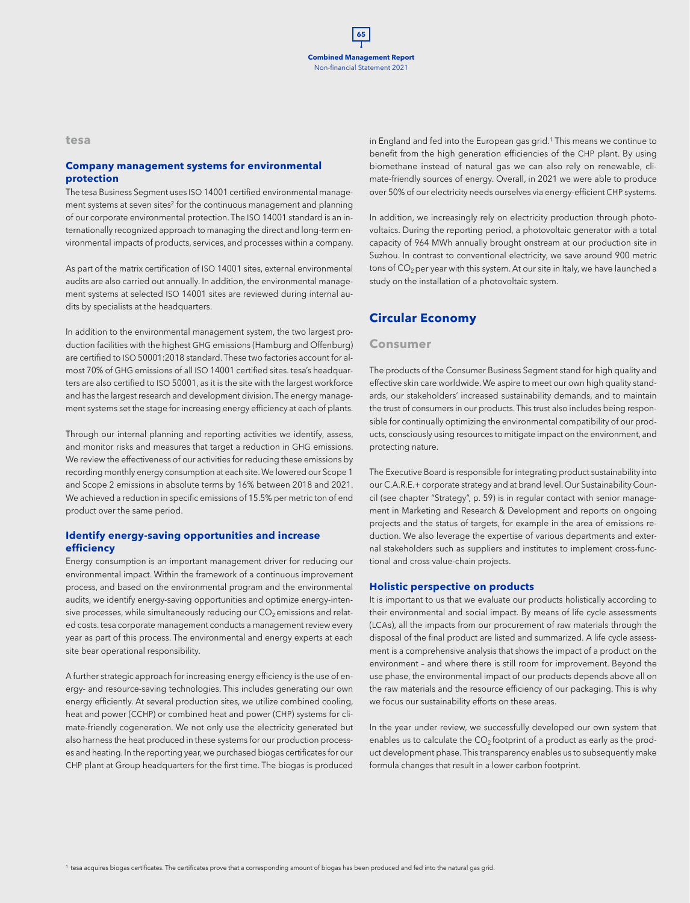**tesa**

## **Company management systems for environmental protection**

The tesa Business Segment uses ISO 14001 certified environmental management systems at seven sites<sup>2</sup> for the continuous management and planning of our corporate environmental protection. The ISO 14001 standard is an internationally recognized approach to managing the direct and long-term environmental impacts of products, services, and processes within a company.

As part of the matrix certification of ISO 14001 sites, external environmental audits are also carried out annually. In addition, the environmental management systems at selected ISO 14001 sites are reviewed during internal audits by specialists at the headquarters.

In addition to the environmental management system, the two largest production facilities with the highest GHG emissions (Hamburg and Offenburg) are certified to ISO 50001:2018 standard. These two factories account for almost 70% of GHG emissions of all ISO 14001 certified sites. tesa's headquarters are also certified to ISO 50001, as it is the site with the largest workforce and has the largest research and development division. The energy management systems set the stage for increasing energy efficiency at each of plants.

Through our internal planning and reporting activities we identify, assess, and monitor risks and measures that target a reduction in GHG emissions. We review the effectiveness of our activities for reducing these emissions by recording monthly energy consumption at each site. We lowered our Scope 1 and Scope 2 emissions in absolute terms by 16% between 2018 and 2021. We achieved a reduction in specific emissions of 15.5% per metric ton of end product over the same period.

## **Identify energy-saving opportunities and increase efficiency**

Energy consumption is an important management driver for reducing our environmental impact. Within the framework of a continuous improvement process, and based on the environmental program and the environmental audits, we identify energy-saving opportunities and optimize energy-intensive processes, while simultaneously reducing our  $CO<sub>2</sub>$  emissions and related costs. tesa corporate management conducts a management review every year as part of this process. The environmental and energy experts at each site bear operational responsibility.

A further strategic approach for increasing energy efficiency is the use of energy- and resource-saving technologies. This includes generating our own energy efficiently. At several production sites, we utilize combined cooling, heat and power (CCHP) or combined heat and power (CHP) systems for climate-friendly cogeneration. We not only use the electricity generated but also harness the heat produced in these systems for our production processes and heating. In the reporting year, we purchased biogas certificates for our CHP plant at Group headquarters for the first time. The biogas is produced

in England and fed into the European gas grid.<sup>1</sup> This means we continue to benefit from the high generation efficiencies of the CHP plant. By using biomethane instead of natural gas we can also rely on renewable, climate-friendly sources of energy. Overall, in 2021 we were able to produce over 50% of our electricity needs ourselves via energy-efficient CHP systems.

In addition, we increasingly rely on electricity production through photovoltaics. During the reporting period, a photovoltaic generator with a total capacity of 964 MWh annually brought onstream at our production site in Suzhou. In contrast to conventional electricity, we save around 900 metric tons of  $CO<sub>2</sub>$  per year with this system. At our site in Italy, we have launched a study on the installation of a photovoltaic system.

## **Circular Economy**

## **Consumer**

The products of the Consumer Business Segment stand for high quality and effective skin care worldwide. We aspire to meet our own high quality standards, our stakeholders' increased sustainability demands, and to maintain the trust of consumers in our products. This trust also includes being responsible for continually optimizing the environmental compatibility of our products, consciously using resources to mitigate impact on the environment, and protecting nature.

The Executive Board is responsible for integrating product sustainability into our C.A.R.E.+ corporate strategy and at brand level. Our Sustainability Council (see chapter "Strategy", p. 59) is in regular contact with senior management in Marketing and Research & Development and reports on ongoing projects and the status of targets, for example in the area of emissions reduction. We also leverage the expertise of various departments and external stakeholders such as suppliers and institutes to implement cross-functional and cross value-chain projects.

### **Holistic perspective on products**

It is important to us that we evaluate our products holistically according to their environmental and social impact. By means of life cycle assessments (LCAs), all the impacts from our procurement of raw materials through the disposal of the final product are listed and summarized. A life cycle assessment is a comprehensive analysis that shows the impact of a product on the environment – and where there is still room for improvement. Beyond the use phase, the environmental impact of our products depends above all on the raw materials and the resource efficiency of our packaging. This is why we focus our sustainability efforts on these areas.

In the year under review, we successfully developed our own system that enables us to calculate the  $CO<sub>2</sub>$  footprint of a product as early as the product development phase. This transparency enables us to subsequently make formula changes that result in a lower carbon footprint.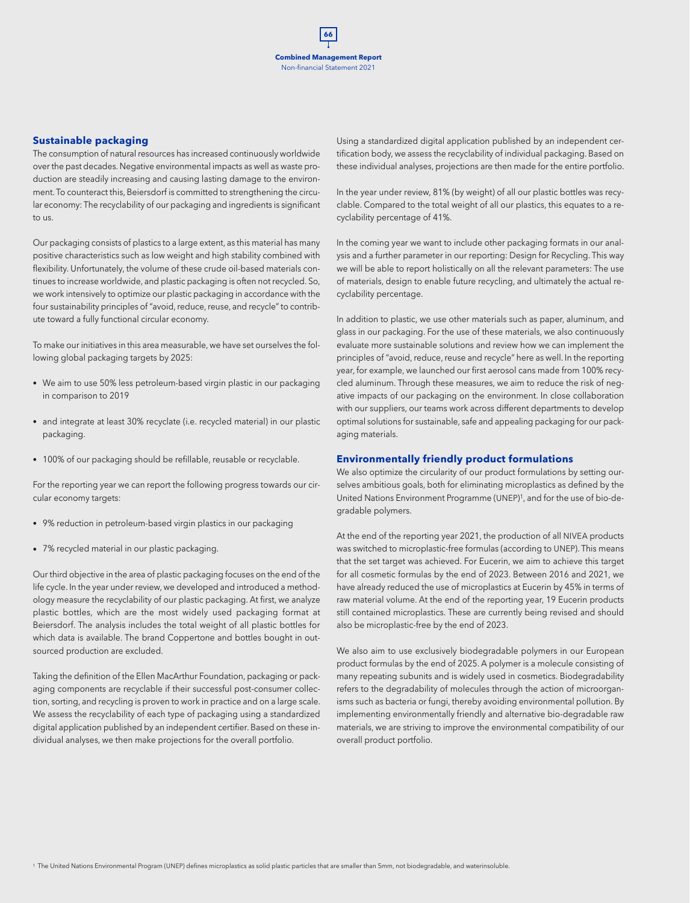#### **Sustainable packaging**

The consumption of natural resources has increased continuously worldwide over the past decades. Negative environmental impacts as well as waste production are steadily increasing and causing lasting damage to the environment. To counteract this, Beiersdorf is committed to strengthening the circular economy: The recyclability of our packaging and ingredients is significant to us.

Our packaging consists of plastics to a large extent, as this material has many positive characteristics such as low weight and high stability combined with flexibility. Unfortunately, the volume of these crude oil-based materials continues to increase worldwide, and plastic packaging is often not recycled. So, we work intensively to optimize our plastic packaging in accordance with the four sustainability principles of "avoid, reduce, reuse, and recycle" to contribute toward a fully functional circular economy.

To make our initiatives in this area measurable, we have set ourselves the following global packaging targets by 2025:

- We aim to use 50% less petroleum-based virgin plastic in our packaging in comparison to 2019
- and integrate at least 30% recyclate (i.e. recycled material) in our plastic packaging.
- 100% of our packaging should be refillable, reusable or recyclable.

For the reporting year we can report the following progress towards our circular economy targets:

- 9% reduction in petroleum-based virgin plastics in our packaging
- 7% recycled material in our plastic packaging.

Our third objective in the area of plastic packaging focuses on the end of the life cycle. In the year under review, we developed and introduced a methodology measure the recyclability of our plastic packaging. At first, we analyze plastic bottles, which are the most widely used packaging format at Beiersdorf. The analysis includes the total weight of all plastic bottles for which data is available. The brand Coppertone and bottles bought in outsourced production are excluded.

Taking the definition of the Ellen MacArthur Foundation, packaging or packaging components are recyclable if their successful post-consumer collection, sorting, and recycling is proven to work in practice and on a large scale. We assess the recyclability of each type of packaging using a standardized digital application published by an independent certifier. Based on these individual analyses, we then make projections for the overall portfolio.

Using a standardized digital application published by an independent certification body, we assess the recyclability of individual packaging. Based on these individual analyses, projections are then made for the entire portfolio.

In the year under review, 81% (by weight) of all our plastic bottles was recyclable. Compared to the total weight of all our plastics, this equates to a recyclability percentage of 41%.

In the coming year we want to include other packaging formats in our analysis and a further parameter in our reporting: Design for Recycling. This way we will be able to report holistically on all the relevant parameters: The use of materials, design to enable future recycling, and ultimately the actual recyclability percentage.

In addition to plastic, we use other materials such as paper, aluminum, and glass in our packaging. For the use of these materials, we also continuously evaluate more sustainable solutions and review how we can implement the principles of "avoid, reduce, reuse and recycle" here as well. In the reporting year, for example, we launched our first aerosol cans made from 100% recycled aluminum. Through these measures, we aim to reduce the risk of negative impacts of our packaging on the environment. In close collaboration with our suppliers, our teams work across different departments to develop optimal solutions for sustainable, safe and appealing packaging for our packaging materials.

#### **Environmentally friendly product formulations**

We also optimize the circularity of our product formulations by setting ourselves ambitious goals, both for eliminating microplastics as defined by the United Nations Environment Programme (UNEP)1, and for the use of bio-degradable polymers.

At the end of the reporting year 2021, the production of all NIVEA products was switched to microplastic-free formulas (according to UNEP). This means that the set target was achieved. For Eucerin, we aim to achieve this target for all cosmetic formulas by the end of 2023. Between 2016 and 2021, we have already reduced the use of microplastics at Eucerin by 45% in terms of raw material volume. At the end of the reporting year, 19 Eucerin products still contained microplastics. These are currently being revised and should also be microplastic-free by the end of 2023.

We also aim to use exclusively biodegradable polymers in our European product formulas by the end of 2025. A polymer is a molecule consisting of many repeating subunits and is widely used in cosmetics. Biodegradability refers to the degradability of molecules through the action of microorganisms such as bacteria or fungi, thereby avoiding environmental pollution. By implementing environmentally friendly and alternative bio-degradable raw materials, we are striving to improve the environmental compatibility of our overall product portfolio.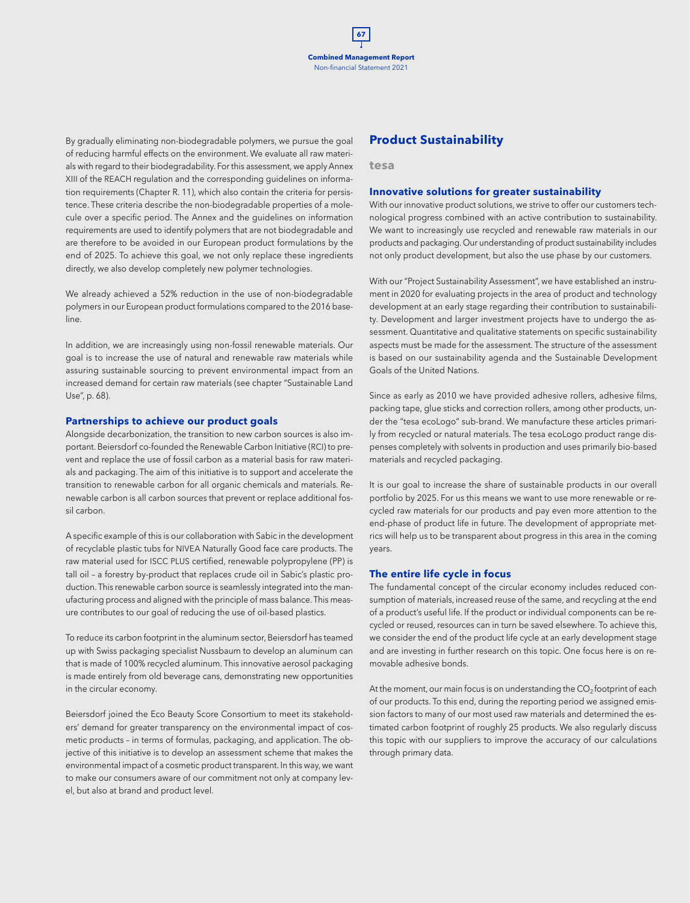By gradually eliminating non-biodegradable polymers, we pursue the goal of reducing harmful effects on the environment. We evaluate all raw materials with regard to their biodegradability. For this assessment, we apply Annex XIII of the REACH regulation and the corresponding guidelines on information requirements (Chapter R. 11), which also contain the criteria for persistence. These criteria describe the non-biodegradable properties of a molecule over a specific period. The Annex and the guidelines on information requirements are used to identify polymers that are not biodegradable and are therefore to be avoided in our European product formulations by the end of 2025. To achieve this goal, we not only replace these ingredients directly, we also develop completely new polymer technologies.

We already achieved a 52% reduction in the use of non-biodegradable polymers in our European product formulations compared to the 2016 baseline.

In addition, we are increasingly using non-fossil renewable materials. Our goal is to increase the use of natural and renewable raw materials while assuring sustainable sourcing to prevent environmental impact from an increased demand for certain raw materials (see chapter "Sustainable Land Use", p. 68).

#### **Partnerships to achieve our product goals**

Alongside decarbonization, the transition to new carbon sources is also important. Beiersdorf co-founded the Renewable Carbon Initiative (RCI) to prevent and replace the use of fossil carbon as a material basis for raw materials and packaging. The aim of this initiative is to support and accelerate the transition to renewable carbon for all organic chemicals and materials. Renewable carbon is all carbon sources that prevent or replace additional fossil carbon.

A specific example of this is our collaboration with Sabic in the development of recyclable plastic tubs for NIVEA Naturally Good face care products. The raw material used for ISCC PLUS certified, renewable polypropylene (PP) is tall oil – a forestry by-product that replaces crude oil in Sabic's plastic production. This renewable carbon source is seamlessly integrated into the manufacturing process and aligned with the principle of mass balance. This measure contributes to our goal of reducing the use of oil-based plastics.

To reduce its carbon footprint in the aluminum sector, Beiersdorf has teamed up with Swiss packaging specialist Nussbaum to develop an aluminum can that is made of 100% recycled aluminum. This innovative aerosol packaging is made entirely from old beverage cans, demonstrating new opportunities in the circular economy.

Beiersdorf joined the Eco Beauty Score Consortium to meet its stakeholders' demand for greater transparency on the environmental impact of cosmetic products – in terms of formulas, packaging, and application. The objective of this initiative is to develop an assessment scheme that makes the environmental impact of a cosmetic product transparent. In this way, we want to make our consumers aware of our commitment not only at company level, but also at brand and product level.

## **Product Sustainability**

**tesa**

#### **Innovative solutions for greater sustainability**

With our innovative product solutions, we strive to offer our customers technological progress combined with an active contribution to sustainability. We want to increasingly use recycled and renewable raw materials in our products and packaging. Our understanding of product sustainability includes not only product development, but also the use phase by our customers.

With our "Project Sustainability Assessment", we have established an instrument in 2020 for evaluating projects in the area of product and technology development at an early stage regarding their contribution to sustainability. Development and larger investment projects have to undergo the assessment. Quantitative and qualitative statements on specific sustainability aspects must be made for the assessment. The structure of the assessment is based on our sustainability agenda and the Sustainable Development Goals of the United Nations.

Since as early as 2010 we have provided adhesive rollers, adhesive films, packing tape, glue sticks and correction rollers, among other products, under the "tesa ecoLogo" sub-brand. We manufacture these articles primarily from recycled or natural materials. The tesa ecoLogo product range dispenses completely with solvents in production and uses primarily bio-based materials and recycled packaging.

It is our goal to increase the share of sustainable products in our overall portfolio by 2025. For us this means we want to use more renewable or recycled raw materials for our products and pay even more attention to the end-phase of product life in future. The development of appropriate metrics will help us to be transparent about progress in this area in the coming years.

#### **The entire life cycle in focus**

The fundamental concept of the circular economy includes reduced consumption of materials, increased reuse of the same, and recycling at the end of a product's useful life. If the product or individual components can be recycled or reused, resources can in turn be saved elsewhere. To achieve this, we consider the end of the product life cycle at an early development stage and are investing in further research on this topic. One focus here is on removable adhesive bonds.

At the moment, our main focus is on understanding the  $CO<sub>2</sub>$  footprint of each of our products. To this end, during the reporting period we assigned emission factors to many of our most used raw materials and determined the estimated carbon footprint of roughly 25 products. We also regularly discuss this topic with our suppliers to improve the accuracy of our calculations through primary data.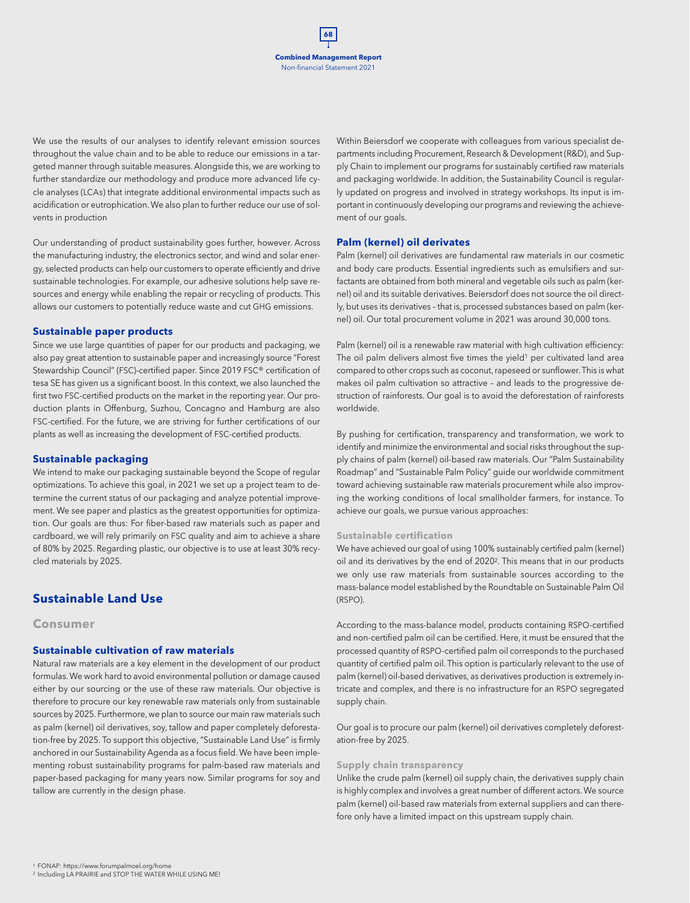

We use the results of our analyses to identify relevant emission sources throughout the value chain and to be able to reduce our emissions in a targeted manner through suitable measures. Alongside this, we are working to further standardize our methodology and produce more advanced life cycle analyses (LCAs) that integrate additional environmental impacts such as acidification or eutrophication. We also plan to further reduce our use of solvents in production

Our understanding of product sustainability goes further, however. Across the manufacturing industry, the electronics sector, and wind and solar energy, selected products can help our customers to operate efficiently and drive sustainable technologies. For example, our adhesive solutions help save resources and energy while enabling the repair or recycling of products. This allows our customers to potentially reduce waste and cut GHG emissions.

#### **Sustainable paper products**

Since we use large quantities of paper for our products and packaging, we also pay great attention to sustainable paper and increasingly source "Forest Stewardship Council" (FSC)-certified paper. Since 2019 FSC® certification of tesa SE has given us a significant boost. In this context, we also launched the first two FSC-certified products on the market in the reporting year. Our production plants in Offenburg, Suzhou, Concagno and Hamburg are also FSC-certified. For the future, we are striving for further certifications of our plants as well as increasing the development of FSC-certified products.

#### **Sustainable packaging**

We intend to make our packaging sustainable beyond the Scope of regular optimizations. To achieve this goal, in 2021 we set up a project team to determine the current status of our packaging and analyze potential improvement. We see paper and plastics as the greatest opportunities for optimization. Our goals are thus: For fiber-based raw materials such as paper and cardboard, we will rely primarily on FSC quality and aim to achieve a share of 80% by 2025. Regarding plastic, our objective is to use at least 30% recycled materials by 2025.

## **Sustainable Land Use**

#### **Consumer**

#### **Sustainable cultivation of raw materials**

Natural raw materials are a key element in the development of our product formulas. We work hard to avoid environmental pollution or damage caused either by our sourcing or the use of these raw materials. Our objective is therefore to procure our key renewable raw materials only from sustainable sources by 2025. Furthermore, we plan to source our main raw materials such as palm (kernel) oil derivatives, soy, tallow and paper completely deforestation-free by 2025. To support this objective, "Sustainable Land Use" is firmly anchored in our Sustainability Agenda as a focus field. We have been implementing robust sustainability programs for palm-based raw materials and paper-based packaging for many years now. Similar programs for soy and tallow are currently in the design phase.

Within Beiersdorf we cooperate with colleagues from various specialist departments including Procurement, Research & Development (R&D), and Supply Chain to implement our programs for sustainably certified raw materials and packaging worldwide. In addition, the Sustainability Council is regularly updated on progress and involved in strategy workshops. Its input is important in continuously developing our programs and reviewing the achievement of our goals.

#### **Palm (kernel) oil derivates**

Palm (kernel) oil derivatives are fundamental raw materials in our cosmetic and body care products. Essential ingredients such as emulsifiers and surfactants are obtained from both mineral and vegetable oils such as palm (kernel) oil and its suitable derivatives. Beiersdorf does not source the oil directly, but uses its derivatives – that is, processed substances based on palm (kernel) oil. Our total procurement volume in 2021 was around 30,000 tons.

Palm (kernel) oil is a renewable raw material with high cultivation efficiency: The oil palm delivers almost five times the yield<sup>1</sup> per cultivated land area compared to other crops such as coconut, rapeseed or sunflower. This is what makes oil palm cultivation so attractive – and leads to the progressive destruction of rainforests. Our goal is to avoid the deforestation of rainforests worldwide.

By pushing for certification, transparency and transformation, we work to identify and minimize the environmental and social risks throughout the supply chains of palm (kernel) oil-based raw materials. Our "Palm Sustainability Roadmap" and "Sustainable Palm Policy" guide our worldwide commitment toward achieving sustainable raw materials procurement while also improving the working conditions of local smallholder farmers, for instance. To achieve our goals, we pursue various approaches:

#### **Sustainable certification**

We have achieved our goal of using 100% sustainably certified palm (kernel) oil and its derivatives by the end of 20202. This means that in our products we only use raw materials from sustainable sources according to the mass-balance model established by the Roundtable on Sustainable Palm Oil (RSPO).

According to the mass-balance model, products containing RSPO-certified and non-certified palm oil can be certified. Here, it must be ensured that the processed quantity of RSPO-certified palm oil corresponds to the purchased quantity of certified palm oil. This option is particularly relevant to the use of palm (kernel) oil-based derivatives, as derivatives production is extremely intricate and complex, and there is no infrastructure for an RSPO segregated supply chain.

Our goal is to procure our palm (kernel) oil derivatives completely deforestation-free by 2025.

#### **Supply chain transparency**

Unlike the crude palm (kernel) oil supply chain, the derivatives supply chain is highly complex and involves a great number of different actors. We source palm (kernel) oil-based raw materials from external suppliers and can therefore only have a limited impact on this upstream supply chain.

<sup>1</sup> FONAP: https://www.forumpalmoel.org/home<br><sup>2</sup> Including LA PRAIRIE and STOP THE WATER WHILE USING ME!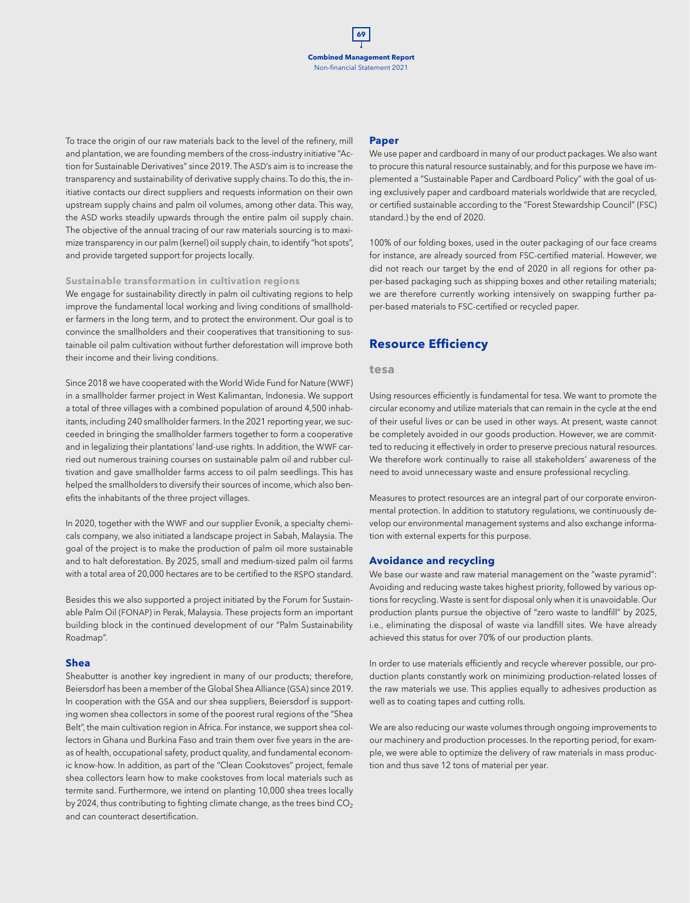To trace the origin of our raw materials back to the level of the refinery, mill and plantation, we are founding members of the cross-industry initiative "Action for Sustainable Derivatives" since 2019. The ASD's aim is to increase the transparency and sustainability of derivative supply chains. To do this, the initiative contacts our direct suppliers and requests information on their own upstream supply chains and palm oil volumes, among other data. This way, the ASD works steadily upwards through the entire palm oil supply chain. The objective of the annual tracing of our raw materials sourcing is to maximize transparency in our palm (kernel) oil supply chain, to identify "hot spots", and provide targeted support for projects locally.

#### **Sustainable transformation in cultivation regions**

We engage for sustainability directly in palm oil cultivating regions to help improve the fundamental local working and living conditions of smallholder farmers in the long term, and to protect the environment. Our goal is to convince the smallholders and their cooperatives that transitioning to sustainable oil palm cultivation without further deforestation will improve both their income and their living conditions.

Since 2018 we have cooperated with the World Wide Fund for Nature (WWF) in a smallholder farmer project in West Kalimantan, Indonesia. We support a total of three villages with a combined population of around 4,500 inhabitants, including 240 smallholder farmers. In the 2021 reporting year, we succeeded in bringing the smallholder farmers together to form a cooperative and in legalizing their plantations' land-use rights. In addition, the WWF carried out numerous training courses on sustainable palm oil and rubber cultivation and gave smallholder farms access to oil palm seedlings. This has helped the smallholders to diversify their sources of income, which also benefits the inhabitants of the three project villages.

In 2020, together with the WWF and our supplier Evonik, a specialty chemicals company, we also initiated a landscape project in Sabah, Malaysia. The goal of the project is to make the production of palm oil more sustainable and to halt deforestation. By 2025, small and medium-sized palm oil farms with a total area of 20,000 hectares are to be certified to the RSPO standard.

Besides this we also supported a project initiated by the Forum for Sustainable Palm Oil (FONAP) in Perak, Malaysia. These projects form an important building block in the continued development of our "Palm Sustainability Roadmap".

#### **Shea**

Sheabutter is another key ingredient in many of our products; therefore, Beiersdorf has been a member of the Global Shea Alliance (GSA) since 2019. In cooperation with the GSA and our shea suppliers, Beiersdorf is supporting women shea collectors in some of the poorest rural regions of the "Shea Belt", the main cultivation region in Africa. For instance, we support shea collectors in Ghana und Burkina Faso and train them over five years in the areas of health, occupational safety, product quality, and fundamental economic know-how. In addition, as part of the "Clean Cookstoves" project, female shea collectors learn how to make cookstoves from local materials such as termite sand. Furthermore, we intend on planting 10,000 shea trees locally by 2024, thus contributing to fighting climate change, as the trees bind  $CO<sub>2</sub>$ and can counteract desertification.

#### **Paper**

We use paper and cardboard in many of our product packages. We also want to procure this natural resource sustainably, and for this purpose we have implemented a "Sustainable Paper and Cardboard Policy" with the goal of using exclusively paper and cardboard materials worldwide that are recycled, or certified sustainable according to the "Forest Stewardship Council" (FSC) standard.) by the end of 2020.

100% of our folding boxes, used in the outer packaging of our face creams for instance, are already sourced from FSC-certified material. However, we did not reach our target by the end of 2020 in all regions for other paper-based packaging such as shipping boxes and other retailing materials; we are therefore currently working intensively on swapping further paper-based materials to FSC-certified or recycled paper.

## **Resource Efficiency**

#### **tesa**

Using resources efficiently is fundamental for tesa. We want to promote the circular economy and utilize materials that can remain in the cycle at the end of their useful lives or can be used in other ways. At present, waste cannot be completely avoided in our goods production. However, we are committed to reducing it effectively in order to preserve precious natural resources. We therefore work continually to raise all stakeholders' awareness of the need to avoid unnecessary waste and ensure professional recycling.

Measures to protect resources are an integral part of our corporate environmental protection. In addition to statutory regulations, we continuously develop our environmental management systems and also exchange information with external experts for this purpose.

#### **Avoidance and recycling**

We base our waste and raw material management on the "waste pyramid": Avoiding and reducing waste takes highest priority, followed by various options for recycling. Waste is sent for disposal only when it is unavoidable. Our production plants pursue the objective of "zero waste to landfill" by 2025, i.e., eliminating the disposal of waste via landfill sites. We have already achieved this status for over 70% of our production plants.

In order to use materials efficiently and recycle wherever possible, our production plants constantly work on minimizing production-related losses of the raw materials we use. This applies equally to adhesives production as well as to coating tapes and cutting rolls.

We are also reducing our waste volumes through ongoing improvements to our machinery and production processes. In the reporting period, for example, we were able to optimize the delivery of raw materials in mass production and thus save 12 tons of material per year.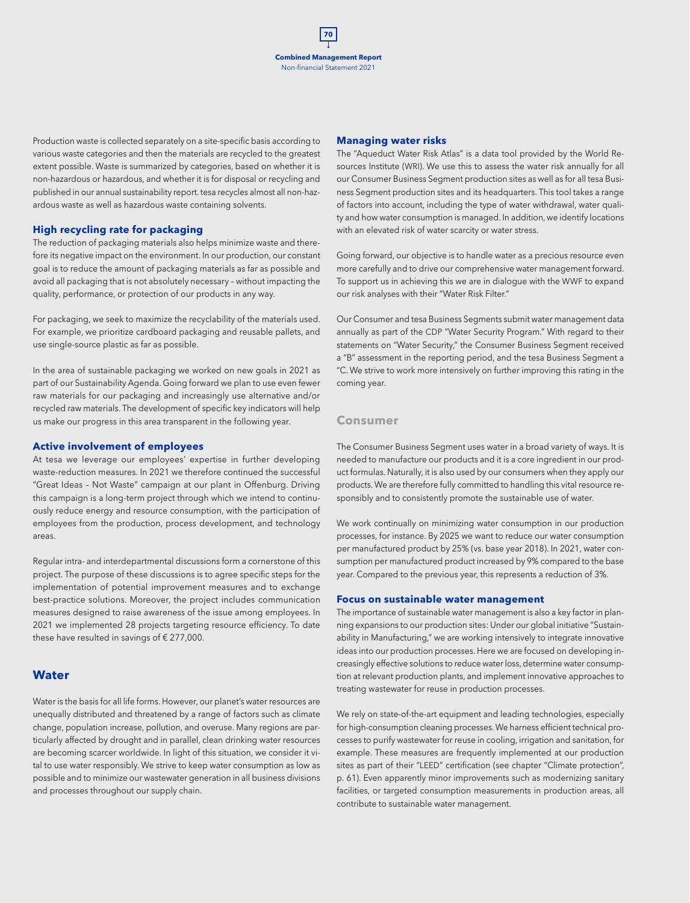Production waste is collected separately on a site-specific basis according to various waste categories and then the materials are recycled to the greatest extent possible. Waste is summarized by categories, based on whether it is non-hazardous or hazardous, and whether it is for disposal or recycling and published in our annual sustainability report. tesa recycles almost all non-hazardous waste as well as hazardous waste containing solvents.

#### **High recycling rate for packaging**

The reduction of packaging materials also helps minimize waste and therefore its negative impact on the environment. In our production, our constant goal is to reduce the amount of packaging materials as far as possible and avoid all packaging that is not absolutely necessary – without impacting the quality, performance, or protection of our products in any way.

For packaging, we seek to maximize the recyclability of the materials used. For example, we prioritize cardboard packaging and reusable pallets, and use single-source plastic as far as possible.

In the area of sustainable packaging we worked on new goals in 2021 as part of our Sustainability Agenda. Going forward we plan to use even fewer raw materials for our packaging and increasingly use alternative and/or recycled raw materials. The development of specific key indicators will help us make our progress in this area transparent in the following year.

#### **Active involvement of employees**

At tesa we leverage our employees' expertise in further developing waste-reduction measures. In 2021 we therefore continued the successful "Great Ideas – Not Waste" campaign at our plant in Offenburg. Driving this campaign is a long-term project through which we intend to continuously reduce energy and resource consumption, with the participation of employees from the production, process development, and technology areas.

Regular intra- and interdepartmental discussions form a cornerstone of this project. The purpose of these discussions is to agree specific steps for the implementation of potential improvement measures and to exchange best-practice solutions. Moreover, the project includes communication measures designed to raise awareness of the issue among employees. In 2021 we implemented 28 projects targeting resource efficiency. To date these have resulted in savings of € 277,000.

## **Water**

Water is the basis for all life forms. However, our planet's water resources are unequally distributed and threatened by a range of factors such as climate change, population increase, pollution, and overuse. Many regions are particularly affected by drought and in parallel, clean drinking water resources are becoming scarcer worldwide. In light of this situation, we consider it vital to use water responsibly. We strive to keep water consumption as low as possible and to minimize our wastewater generation in all business divisions and processes throughout our supply chain.

#### **Managing water risks**

The "Aqueduct Water Risk Atlas" is a data tool provided by the World Resources Institute (WRI). We use this to assess the water risk annually for all our Consumer Business Segment production sites as well as for all tesa Business Segment production sites and its headquarters. This tool takes a range of factors into account, including the type of water withdrawal, water quality and how water consumption is managed. In addition, we identify locations with an elevated risk of water scarcity or water stress.

Going forward, our objective is to handle water as a precious resource even more carefully and to drive our comprehensive water management forward. To support us in achieving this we are in dialogue with the WWF to expand our risk analyses with their "Water Risk Filter."

Our Consumer and tesa Business Segments submit water management data annually as part of the CDP "Water Security Program." With regard to their statements on "Water Security," the Consumer Business Segment received a "B" assessment in the reporting period, and the tesa Business Segment a "C. We strive to work more intensively on further improving this rating in the coming year.

#### **Consumer**

The Consumer Business Segment uses water in a broad variety of ways. It is needed to manufacture our products and it is a core ingredient in our product formulas. Naturally, it is also used by our consumers when they apply our products. We are therefore fully committed to handling this vital resource responsibly and to consistently promote the sustainable use of water.

We work continually on minimizing water consumption in our production processes, for instance. By 2025 we want to reduce our water consumption per manufactured product by 25% (vs. base year 2018). In 2021, water consumption per manufactured product increased by 9% compared to the base year. Compared to the previous year, this represents a reduction of 3%.

#### **Focus on sustainable water management**

The importance of sustainable water management is also a key factor in planning expansions to our production sites: Under our global initiative "Sustainability in Manufacturing," we are working intensively to integrate innovative ideas into our production processes. Here we are focused on developing increasingly effective solutions to reduce water loss, determine water consumption at relevant production plants, and implement innovative approaches to treating wastewater for reuse in production processes.

We rely on state-of-the-art equipment and leading technologies, especially for high-consumption cleaning processes. We harness efficient technical processes to purify wastewater for reuse in cooling, irrigation and sanitation, for example. These measures are frequently implemented at our production sites as part of their "LEED" certification (see chapter "Climate protection", p. 61). Even apparently minor improvements such as modernizing sanitary facilities, or targeted consumption measurements in production areas, all contribute to sustainable water management.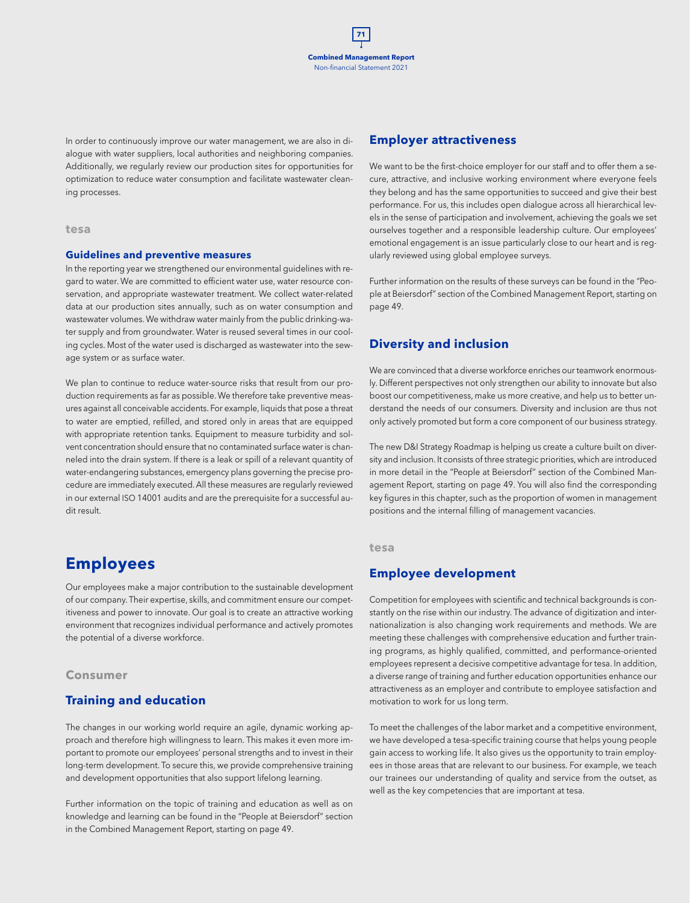In order to continuously improve our water management, we are also in dialogue with water suppliers, local authorities and neighboring companies. Additionally, we regularly review our production sites for opportunities for optimization to reduce water consumption and facilitate wastewater cleaning processes.

#### **tesa**

#### **Guidelines and preventive measures**

In the reporting year we strengthened our environmental guidelines with regard to water. We are committed to efficient water use, water resource conservation, and appropriate wastewater treatment. We collect water-related data at our production sites annually, such as on water consumption and wastewater volumes. We withdraw water mainly from the public drinking-water supply and from groundwater. Water is reused several times in our cooling cycles. Most of the water used is discharged as wastewater into the sewage system or as surface water.

We plan to continue to reduce water-source risks that result from our production requirements as far as possible. We therefore take preventive measures against all conceivable accidents. For example, liquids that pose a threat to water are emptied, refilled, and stored only in areas that are equipped with appropriate retention tanks. Equipment to measure turbidity and solvent concentration should ensure that no contaminated surface water is channeled into the drain system. If there is a leak or spill of a relevant quantity of water-endangering substances, emergency plans governing the precise procedure are immediately executed. All these measures are regularly reviewed in our external ISO 14001 audits and are the prerequisite for a successful audit result.

## **Employees**

Our employees make a major contribution to the sustainable development of our company. Their expertise, skills, and commitment ensure our competitiveness and power to innovate. Our goal is to create an attractive working environment that recognizes individual performance and actively promotes the potential of a diverse workforce.

#### **Consumer**

## **Training and education**

The changes in our working world require an agile, dynamic working approach and therefore high willingness to learn. This makes it even more important to promote our employees' personal strengths and to invest in their long-term development. To secure this, we provide comprehensive training and development opportunities that also support lifelong learning.

Further information on the topic of training and education as well as on knowledge and learning can be found in the "People at Beiersdorf" section in the Combined Management Report, starting on page 49.

## **Employer attractiveness**

We want to be the first-choice employer for our staff and to offer them a secure, attractive, and inclusive working environment where everyone feels they belong and has the same opportunities to succeed and give their best performance. For us, this includes open dialogue across all hierarchical levels in the sense of participation and involvement, achieving the goals we set ourselves together and a responsible leadership culture. Our employees' emotional engagement is an issue particularly close to our heart and is regularly reviewed using global employee surveys.

Further information on the results of these surveys can be found in the "People at Beiersdorf" section of the Combined Management Report, starting on page 49.

## **Diversity and inclusion**

We are convinced that a diverse workforce enriches our teamwork enormously. Different perspectives not only strengthen our ability to innovate but also boost our competitiveness, make us more creative, and help us to better understand the needs of our consumers. Diversity and inclusion are thus not only actively promoted but form a core component of our business strategy.

The new D&I Strategy Roadmap is helping us create a culture built on diversity and inclusion. It consists of three strategic priorities, which are introduced in more detail in the "People at Beiersdorf" section of the Combined Management Report, starting on page 49. You will also find the corresponding key figures in this chapter, such as the proportion of women in management positions and the internal filling of management vacancies.

#### **tesa**

## **Employee development**

Competition for employees with scientific and technical backgrounds is constantly on the rise within our industry. The advance of digitization and internationalization is also changing work requirements and methods. We are meeting these challenges with comprehensive education and further training programs, as highly qualified, committed, and performance-oriented employees represent a decisive competitive advantage for tesa. In addition, a diverse range of training and further education opportunities enhance our attractiveness as an employer and contribute to employee satisfaction and motivation to work for us long term.

To meet the challenges of the labor market and a competitive environment, we have developed a tesa-specific training course that helps young people gain access to working life. It also gives us the opportunity to train employees in those areas that are relevant to our business. For example, we teach our trainees our understanding of quality and service from the outset, as well as the key competencies that are important at tesa.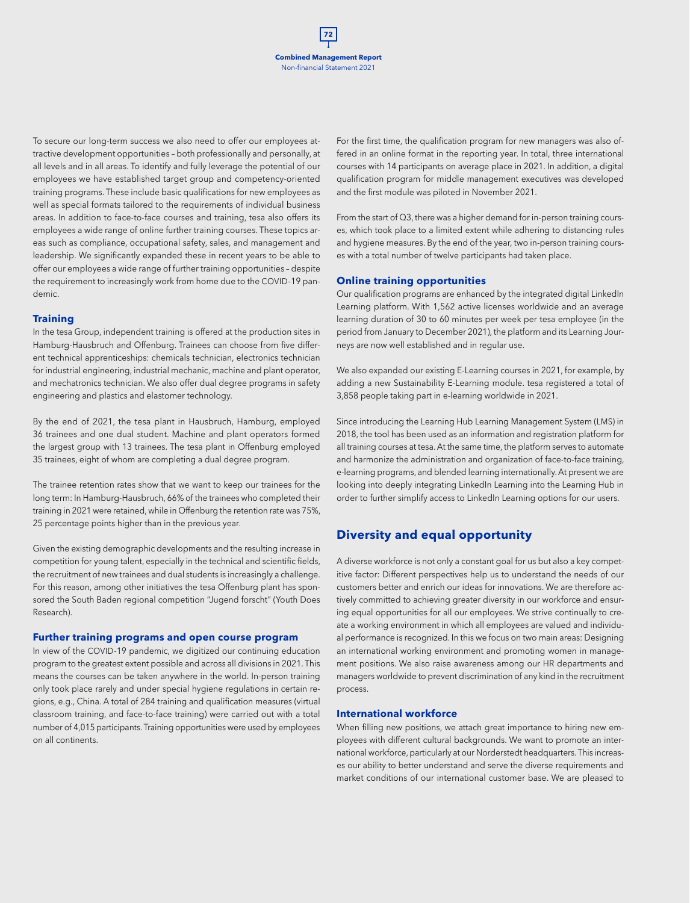To secure our long-term success we also need to offer our employees attractive development opportunities – both professionally and personally, at all levels and in all areas. To identify and fully leverage the potential of our employees we have established target group and competency-oriented training programs. These include basic qualifications for new employees as well as special formats tailored to the requirements of individual business areas. In addition to face-to-face courses and training, tesa also offers its employees a wide range of online further training courses. These topics areas such as compliance, occupational safety, sales, and management and leadership. We significantly expanded these in recent years to be able to offer our employees a wide range of further training opportunities – despite the requirement to increasingly work from home due to the COVID-19 pandemic.

#### **Training**

In the tesa Group, independent training is offered at the production sites in Hamburg-Hausbruch and Offenburg. Trainees can choose from five different technical apprenticeships: chemicals technician, electronics technician for industrial engineering, industrial mechanic, machine and plant operator, and mechatronics technician. We also offer dual degree programs in safety engineering and plastics and elastomer technology.

By the end of 2021, the tesa plant in Hausbruch, Hamburg, employed 36 trainees and one dual student. Machine and plant operators formed the largest group with 13 trainees. The tesa plant in Offenburg employed 35 trainees, eight of whom are completing a dual degree program.

The trainee retention rates show that we want to keep our trainees for the long term: In Hamburg-Hausbruch, 66% of the trainees who completed their training in 2021 were retained, while in Offenburg the retention rate was 75%, 25 percentage points higher than in the previous year.

Given the existing demographic developments and the resulting increase in competition for young talent, especially in the technical and scientific fields, the recruitment of new trainees and dual students is increasingly a challenge. For this reason, among other initiatives the tesa Offenburg plant has sponsored the South Baden regional competition "Jugend forscht" (Youth Does Research).

### **Further training programs and open course program**

In view of the COVID-19 pandemic, we digitized our continuing education program to the greatest extent possible and across all divisions in 2021. This means the courses can be taken anywhere in the world. In-person training only took place rarely and under special hygiene regulations in certain regions, e.g., China. A total of 284 training and qualification measures (virtual classroom training, and face-to-face training) were carried out with a total number of 4,015 participants. Training opportunities were used by employees on all continents.

For the first time, the qualification program for new managers was also offered in an online format in the reporting year. In total, three international courses with 14 participants on average place in 2021. In addition, a digital qualification program for middle management executives was developed and the first module was piloted in November 2021.

From the start of Q3, there was a higher demand for in-person training courses, which took place to a limited extent while adhering to distancing rules and hygiene measures. By the end of the year, two in-person training courses with a total number of twelve participants had taken place.

#### **Online training opportunities**

Our qualification programs are enhanced by the integrated digital LinkedIn Learning platform. With 1,562 active licenses worldwide and an average learning duration of 30 to 60 minutes per week per tesa employee (in the period from January to December 2021), the platform and its Learning Journeys are now well established and in regular use.

We also expanded our existing E-Learning courses in 2021, for example, by adding a new Sustainability E-Learning module. tesa registered a total of 3,858 people taking part in e-learning worldwide in 2021.

Since introducing the Learning Hub Learning Management System (LMS) in 2018, the tool has been used as an information and registration platform for all training courses at tesa. At the same time, the platform serves to automate and harmonize the administration and organization of face-to-face training, e-learning programs, and blended learning internationally. At present we are looking into deeply integrating LinkedIn Learning into the Learning Hub in order to further simplify access to LinkedIn Learning options for our users.

## **Diversity and equal opportunity**

A diverse workforce is not only a constant goal for us but also a key competitive factor: Different perspectives help us to understand the needs of our customers better and enrich our ideas for innovations. We are therefore actively committed to achieving greater diversity in our workforce and ensuring equal opportunities for all our employees. We strive continually to create a working environment in which all employees are valued and individual performance is recognized. In this we focus on two main areas: Designing an international working environment and promoting women in management positions. We also raise awareness among our HR departments and managers worldwide to prevent discrimination of any kind in the recruitment process.

#### **International workforce**

When filling new positions, we attach great importance to hiring new employees with different cultural backgrounds. We want to promote an international workforce, particularly at our Norderstedt headquarters. This increases our ability to better understand and serve the diverse requirements and market conditions of our international customer base. We are pleased to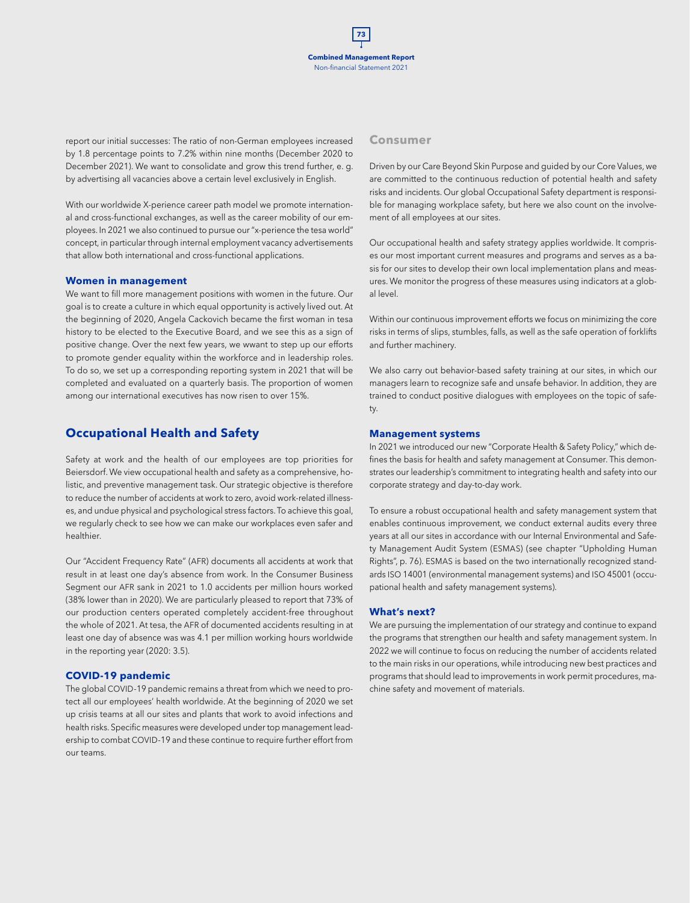report our initial successes: The ratio of non-German employees increased by 1.8 percentage points to 7.2% within nine months (December 2020 to December 2021). We want to consolidate and grow this trend further, e. g. by advertising all vacancies above a certain level exclusively in English.

With our worldwide X-perience career path model we promote international and cross-functional exchanges, as well as the career mobility of our employees. In 2021 we also continued to pursue our "x-perience the tesa world" concept, in particular through internal employment vacancy advertisements that allow both international and cross-functional applications.

#### **Women in management**

We want to fill more management positions with women in the future. Our goal is to create a culture in which equal opportunity is actively lived out. At the beginning of 2020, Angela Cackovich became the first woman in tesa history to be elected to the Executive Board, and we see this as a sign of positive change. Over the next few years, we wwant to step up our efforts to promote gender equality within the workforce and in leadership roles. To do so, we set up a corresponding reporting system in 2021 that will be completed and evaluated on a quarterly basis. The proportion of women among our international executives has now risen to over 15%.

## **Occupational Health and Safety**

Safety at work and the health of our employees are top priorities for Beiersdorf. We view occupational health and safety as a comprehensive, holistic, and preventive management task. Our strategic objective is therefore to reduce the number of accidents at work to zero, avoid work-related illnesses, and undue physical and psychological stress factors. To achieve this goal, we regularly check to see how we can make our workplaces even safer and healthier.

Our "Accident Frequency Rate" (AFR) documents all accidents at work that result in at least one day's absence from work. In the Consumer Business Segment our AFR sank in 2021 to 1.0 accidents per million hours worked (38% lower than in 2020). We are particularly pleased to report that 73% of our production centers operated completely accident-free throughout the whole of 2021. At tesa, the AFR of documented accidents resulting in at least one day of absence was was 4.1 per million working hours worldwide in the reporting year (2020: 3.5).

### **COVID-19 pandemic**

The global COVID-19 pandemic remains a threat from which we need to protect all our employees' health worldwide. At the beginning of 2020 we set up crisis teams at all our sites and plants that work to avoid infections and health risks. Specific measures were developed under top management leadership to combat COVID-19 and these continue to require further effort from our teams.

### **Consumer**

Driven by our Care Beyond Skin Purpose and guided by our Core Values, we are committed to the continuous reduction of potential health and safety risks and incidents. Our global Occupational Safety department is responsible for managing workplace safety, but here we also count on the involvement of all employees at our sites.

Our occupational health and safety strategy applies worldwide. It comprises our most important current measures and programs and serves as a basis for our sites to develop their own local implementation plans and measures. We monitor the progress of these measures using indicators at a global level.

Within our continuous improvement efforts we focus on minimizing the core risks in terms of slips, stumbles, falls, as well as the safe operation of forklifts and further machinery.

We also carry out behavior-based safety training at our sites, in which our managers learn to recognize safe and unsafe behavior. In addition, they are trained to conduct positive dialogues with employees on the topic of safety.

### **Management systems**

In 2021 we introduced our new "Corporate Health & Safety Policy," which defines the basis for health and safety management at Consumer. This demonstrates our leadership's commitment to integrating health and safety into our corporate strategy and day-to-day work.

To ensure a robust occupational health and safety management system that enables continuous improvement, we conduct external audits every three years at all our sites in accordance with our Internal Environmental and Safety Management Audit System (ESMAS) (see chapter "Upholding Human Rights", p. 76). ESMAS is based on the two internationally recognized standards ISO 14001 (environmental management systems) and ISO 45001 (occupational health and safety management systems).

#### **What's next?**

We are pursuing the implementation of our strategy and continue to expand the programs that strengthen our health and safety management system. In 2022 we will continue to focus on reducing the number of accidents related to the main risks in our operations, while introducing new best practices and programs that should lead to improvements in work permit procedures, machine safety and movement of materials.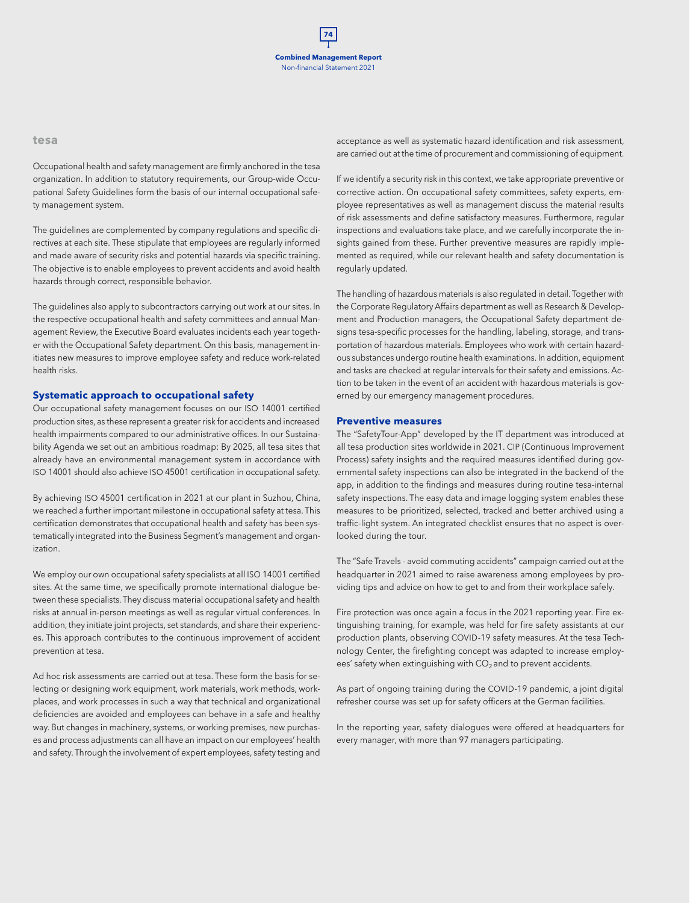#### **tesa**

Occupational health and safety management are firmly anchored in the tesa organization. In addition to statutory requirements, our Group-wide Occupational Safety Guidelines form the basis of our internal occupational safety management system.

The guidelines are complemented by company regulations and specific directives at each site. These stipulate that employees are regularly informed and made aware of security risks and potential hazards via specific training. The objective is to enable employees to prevent accidents and avoid health hazards through correct, responsible behavior.

The guidelines also apply to subcontractors carrying out work at our sites. In the respective occupational health and safety committees and annual Management Review, the Executive Board evaluates incidents each year together with the Occupational Safety department. On this basis, management initiates new measures to improve employee safety and reduce work-related health risks.

#### **Systematic approach to occupational safety**

Our occupational safety management focuses on our ISO 14001 certified production sites, as these represent a greater risk for accidents and increased health impairments compared to our administrative offices. In our Sustainability Agenda we set out an ambitious roadmap: By 2025, all tesa sites that already have an environmental management system in accordance with ISO 14001 should also achieve ISO 45001 certification in occupational safety.

By achieving ISO 45001 certification in 2021 at our plant in Suzhou, China, we reached a further important milestone in occupational safety at tesa. This certification demonstrates that occupational health and safety has been systematically integrated into the Business Segment's management and organization.

We employ our own occupational safety specialists at all ISO 14001 certified sites. At the same time, we specifically promote international dialogue between these specialists. They discuss material occupational safety and health risks at annual in-person meetings as well as regular virtual conferences. In addition, they initiate joint projects, set standards, and share their experiences. This approach contributes to the continuous improvement of accident prevention at tesa.

Ad hoc risk assessments are carried out at tesa. These form the basis for selecting or designing work equipment, work materials, work methods, workplaces, and work processes in such a way that technical and organizational deficiencies are avoided and employees can behave in a safe and healthy way. But changes in machinery, systems, or working premises, new purchases and process adjustments can all have an impact on our employees' health and safety. Through the involvement of expert employees, safety testing and

acceptance as well as systematic hazard identification and risk assessment, are carried out at the time of procurement and commissioning of equipment.

If we identify a security risk in this context, we take appropriate preventive or corrective action. On occupational safety committees, safety experts, employee representatives as well as management discuss the material results of risk assessments and define satisfactory measures. Furthermore, regular inspections and evaluations take place, and we carefully incorporate the insights gained from these. Further preventive measures are rapidly implemented as required, while our relevant health and safety documentation is regularly updated.

The handling of hazardous materials is also regulated in detail. Together with the Corporate Regulatory Affairs department as well as Research & Development and Production managers, the Occupational Safety department designs tesa-specific processes for the handling, labeling, storage, and transportation of hazardous materials. Employees who work with certain hazardous substances undergo routine health examinations. In addition, equipment and tasks are checked at regular intervals for their safety and emissions. Action to be taken in the event of an accident with hazardous materials is governed by our emergency management procedures.

#### **Preventive measures**

The "SafetyTour-App" developed by the IT department was introduced at all tesa production sites worldwide in 2021. CIP (Continuous Improvement Process) safety insights and the required measures identified during governmental safety inspections can also be integrated in the backend of the app, in addition to the findings and measures during routine tesa-internal safety inspections. The easy data and image logging system enables these measures to be prioritized, selected, tracked and better archived using a traffic-light system. An integrated checklist ensures that no aspect is overlooked during the tour.

The "Safe Travels - avoid commuting accidents" campaign carried out at the headquarter in 2021 aimed to raise awareness among employees by providing tips and advice on how to get to and from their workplace safely.

Fire protection was once again a focus in the 2021 reporting year. Fire extinguishing training, for example, was held for fire safety assistants at our production plants, observing COVID-19 safety measures. At the tesa Technology Center, the firefighting concept was adapted to increase employees' safety when extinguishing with  $CO<sub>2</sub>$  and to prevent accidents.

As part of ongoing training during the COVID-19 pandemic, a joint digital refresher course was set up for safety officers at the German facilities.

In the reporting year, safety dialogues were offered at headquarters for every manager, with more than 97 managers participating.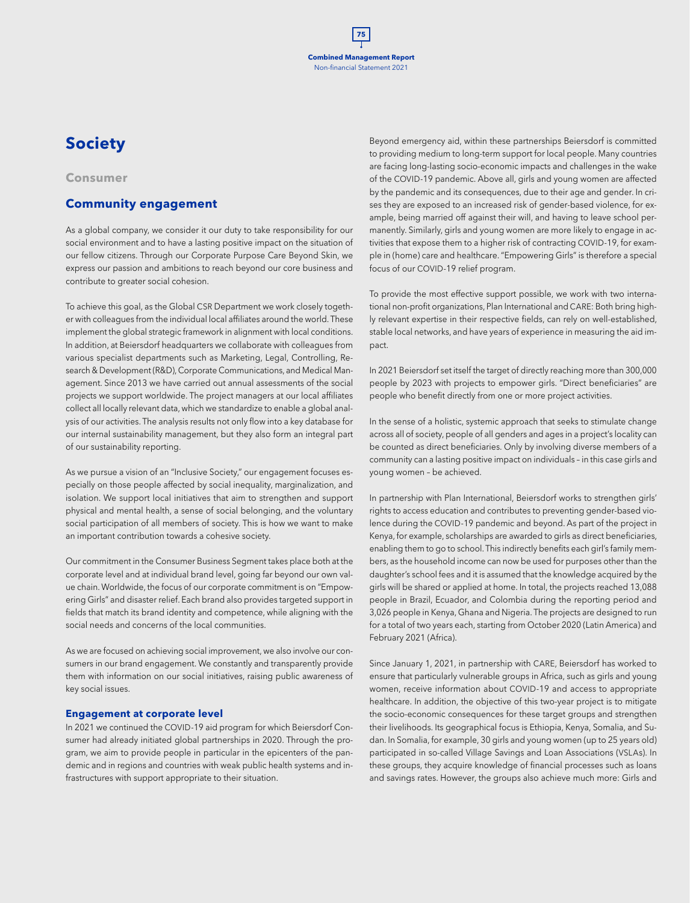## **Society**

#### **Consumer**

## **Community engagement**

As a global company, we consider it our duty to take responsibility for our social environment and to have a lasting positive impact on the situation of our fellow citizens. Through our Corporate Purpose Care Beyond Skin, we express our passion and ambitions to reach beyond our core business and contribute to greater social cohesion.

To achieve this goal, as the Global CSR Department we work closely together with colleagues from the individual local affiliates around the world. These implement the global strategic framework in alignment with local conditions. In addition, at Beiersdorf headquarters we collaborate with colleagues from various specialist departments such as Marketing, Legal, Controlling, Research & Development (R&D), Corporate Communications, and Medical Management. Since 2013 we have carried out annual assessments of the social projects we support worldwide. The project managers at our local affiliates collect all locally relevant data, which we standardize to enable a global analysis of our activities. The analysis results not only flow into a key database for our internal sustainability management, but they also form an integral part of our sustainability reporting.

As we pursue a vision of an "Inclusive Society," our engagement focuses especially on those people affected by social inequality, marginalization, and isolation. We support local initiatives that aim to strengthen and support physical and mental health, a sense of social belonging, and the voluntary social participation of all members of society. This is how we want to make an important contribution towards a cohesive society.

Our commitment in the Consumer Business Segment takes place both at the corporate level and at individual brand level, going far beyond our own value chain. Worldwide, the focus of our corporate commitment is on "Empowering Girls" and disaster relief. Each brand also provides targeted support in fields that match its brand identity and competence, while aligning with the social needs and concerns of the local communities.

As we are focused on achieving social improvement, we also involve our consumers in our brand engagement. We constantly and transparently provide them with information on our social initiatives, raising public awareness of key social issues.

## **Engagement at corporate level**

In 2021 we continued the COVID-19 aid program for which Beiersdorf Consumer had already initiated global partnerships in 2020. Through the program, we aim to provide people in particular in the epicenters of the pandemic and in regions and countries with weak public health systems and infrastructures with support appropriate to their situation.

Beyond emergency aid, within these partnerships Beiersdorf is committed to providing medium to long-term support for local people. Many countries are facing long-lasting socio-economic impacts and challenges in the wake of the COVID-19 pandemic. Above all, girls and young women are affected by the pandemic and its consequences, due to their age and gender. In crises they are exposed to an increased risk of gender-based violence, for example, being married off against their will, and having to leave school permanently. Similarly, girls and young women are more likely to engage in activities that expose them to a higher risk of contracting COVID-19, for example in (home) care and healthcare. "Empowering Girls" is therefore a special focus of our COVID-19 relief program.

To provide the most effective support possible, we work with two international non-profit organizations, Plan International and CARE: Both bring highly relevant expertise in their respective fields, can rely on well-established, stable local networks, and have years of experience in measuring the aid impact.

In 2021 Beiersdorf set itself the target of directly reaching more than 300,000 people by 2023 with projects to empower girls. "Direct beneficiaries" are people who benefit directly from one or more project activities.

In the sense of a holistic, systemic approach that seeks to stimulate change across all of society, people of all genders and ages in a project's locality can be counted as direct beneficiaries. Only by involving diverse members of a community can a lasting positive impact on individuals – in this case girls and young women – be achieved.

In partnership with Plan International, Beiersdorf works to strengthen girls' rights to access education and contributes to preventing gender-based violence during the COVID-19 pandemic and beyond. As part of the project in Kenya, for example, scholarships are awarded to girls as direct beneficiaries, enabling them to go to school. This indirectly benefits each girl's family members, as the household income can now be used for purposes other than the daughter's school fees and it is assumed that the knowledge acquired by the girls will be shared or applied at home. In total, the projects reached 13,088 people in Brazil, Ecuador, and Colombia during the reporting period and 3,026 people in Kenya, Ghana and Nigeria. The projects are designed to run for a total of two years each, starting from October 2020 (Latin America) and February 2021 (Africa).

Since January 1, 2021, in partnership with CARE, Beiersdorf has worked to ensure that particularly vulnerable groups in Africa, such as girls and young women, receive information about COVID-19 and access to appropriate healthcare. In addition, the objective of this two-year project is to mitigate the socio-economic consequences for these target groups and strengthen their livelihoods. Its geographical focus is Ethiopia, Kenya, Somalia, and Sudan. In Somalia, for example, 30 girls and young women (up to 25 years old) participated in so-called Village Savings and Loan Associations (VSLAs). In these groups, they acquire knowledge of financial processes such as loans and savings rates. However, the groups also achieve much more: Girls and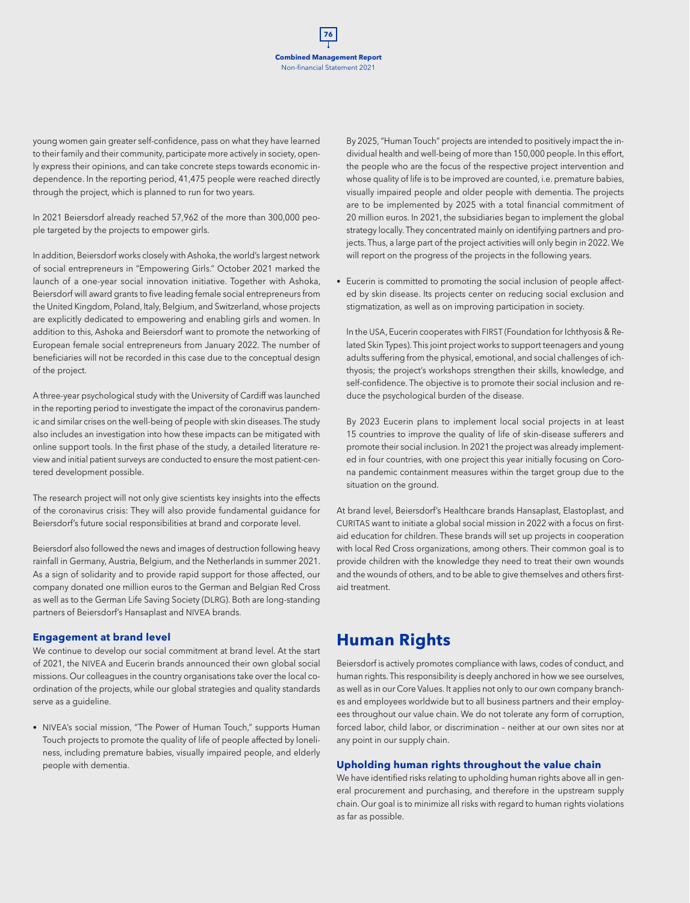young women gain greater self-confidence, pass on what they have learned to their family and their community, participate more actively in society, openly express their opinions, and can take concrete steps towards economic independence. In the reporting period, 41,475 people were reached directly through the project, which is planned to run for two years.

In 2021 Beiersdorf already reached 57,962 of the more than 300,000 people targeted by the projects to empower girls.

In addition, Beiersdorf works closely with Ashoka, the world's largest network of social entrepreneurs in "Empowering Girls." October 2021 marked the launch of a one-year social innovation initiative. Together with Ashoka, Beiersdorf will award grants to five leading female social entrepreneurs from the United Kingdom, Poland, Italy, Belgium, and Switzerland, whose projects are explicitly dedicated to empowering and enabling girls and women. In addition to this, Ashoka and Beiersdorf want to promote the networking of European female social entrepreneurs from January 2022. The number of beneficiaries will not be recorded in this case due to the conceptual design of the project.

A three-year psychological study with the University of Cardiff was launched in the reporting period to investigate the impact of the coronavirus pandemic and similar crises on the well-being of people with skin diseases. The study also includes an investigation into how these impacts can be mitigated with online support tools. In the first phase of the study, a detailed literature review and initial patient surveys are conducted to ensure the most patient-centered development possible.

The research project will not only give scientists key insights into the effects of the coronavirus crisis: They will also provide fundamental guidance for Beiersdorf's future social responsibilities at brand and corporate level.

Beiersdorf also followed the news and images of destruction following heavy rainfall in Germany, Austria, Belgium, and the Netherlands in summer 2021. As a sign of solidarity and to provide rapid support for those affected, our company donated one million euros to the German and Belgian Red Cross as well as to the German Life Saving Society (DLRG). Both are long-standing partners of Beiersdorf's Hansaplast and NIVEA brands.

#### **Engagement at brand level**

We continue to develop our social commitment at brand level. At the start of 2021, the NIVEA and Eucerin brands announced their own global social missions. Our colleagues in the country organisations take over the local coordination of the projects, while our global strategies and quality standards serve as a guideline.

• NIVEA's social mission, "The Power of Human Touch," supports Human Touch projects to promote the quality of life of people affected by loneliness, including premature babies, visually impaired people, and elderly people with dementia.

By 2025, "Human Touch" projects are intended to positively impact the individual health and well-being of more than 150,000 people. In this effort, the people who are the focus of the respective project intervention and whose quality of life is to be improved are counted, i.e. premature babies, visually impaired people and older people with dementia. The projects are to be implemented by 2025 with a total financial commitment of 20 million euros. In 2021, the subsidiaries began to implement the global strategy locally. They concentrated mainly on identifying partners and projects. Thus, a large part of the project activities will only begin in 2022. We will report on the progress of the projects in the following years.

• Eucerin is committed to promoting the social inclusion of people affected by skin disease. Its projects center on reducing social exclusion and stigmatization, as well as on improving participation in society.

In the USA, Eucerin cooperates with FIRST (Foundation for Ichthyosis & Related Skin Types). This joint project works to support teenagers and young adults suffering from the physical, emotional, and social challenges of ichthyosis; the project's workshops strengthen their skills, knowledge, and self-confidence. The objective is to promote their social inclusion and reduce the psychological burden of the disease.

By 2023 Eucerin plans to implement local social projects in at least 15 countries to improve the quality of life of skin-disease sufferers and promote their social inclusion. In 2021 the project was already implemented in four countries, with one project this year initially focusing on Corona pandemic containment measures within the target group due to the situation on the ground.

At brand level, Beiersdorf's Healthcare brands Hansaplast, Elastoplast, and CURITAS want to initiate a global social mission in 2022 with a focus on firstaid education for children. These brands will set up projects in cooperation with local Red Cross organizations, among others. Their common goal is to provide children with the knowledge they need to treat their own wounds and the wounds of others, and to be able to give themselves and others firstaid treatment.

## **Human Rights**

Beiersdorf is actively promotes compliance with laws, codes of conduct, and human rights. This responsibility is deeply anchored in how we see ourselves, as well as in our Core Values. It applies not only to our own company branches and employees worldwide but to all business partners and their employees throughout our value chain. We do not tolerate any form of corruption, forced labor, child labor, or discrimination – neither at our own sites nor at any point in our supply chain.

#### **Upholding human rights throughout the value chain**

We have identified risks relating to upholding human rights above all in general procurement and purchasing, and therefore in the upstream supply chain. Our goal is to minimize all risks with regard to human rights violations as far as possible.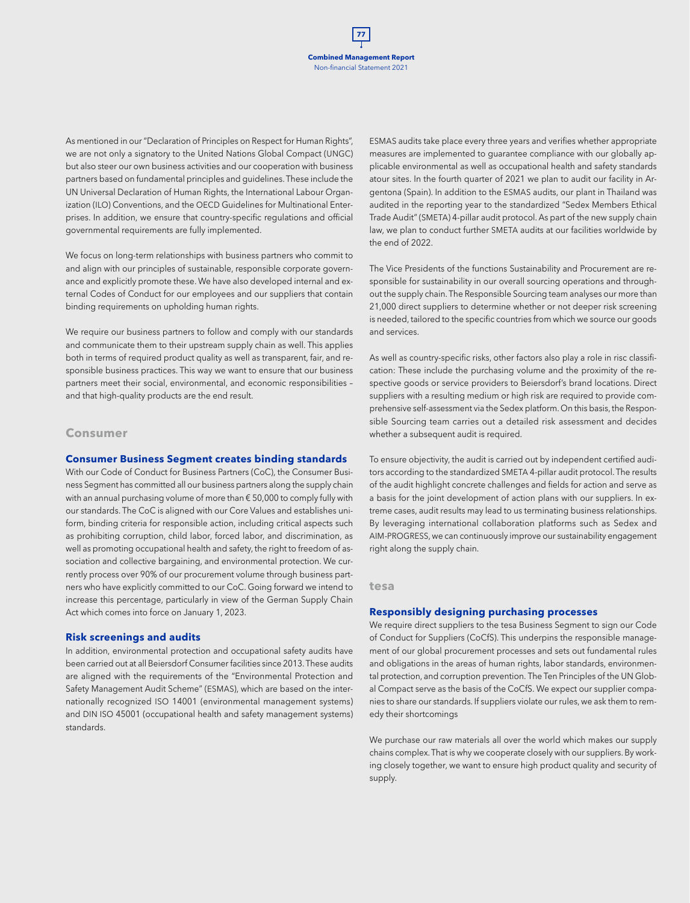As mentioned in our "Declaration of Principles on Respect for Human Rights", we are not only a signatory to the United Nations Global Compact (UNGC) but also steer our own business activities and our cooperation with business partners based on fundamental principles and guidelines. These include the UN Universal Declaration of Human Rights, the International Labour Organization (ILO) Conventions, and the OECD Guidelines for Multinational Enterprises. In addition, we ensure that country-specific regulations and official governmental requirements are fully implemented.

We focus on long-term relationships with business partners who commit to and align with our principles of sustainable, responsible corporate governance and explicitly promote these. We have also developed internal and external Codes of Conduct for our employees and our suppliers that contain binding requirements on upholding human rights.

We require our business partners to follow and comply with our standards and communicate them to their upstream supply chain as well. This applies both in terms of required product quality as well as transparent, fair, and responsible business practices. This way we want to ensure that our business partners meet their social, environmental, and economic responsibilities – and that high-quality products are the end result.

#### **Consumer**

#### **Consumer Business Segment creates binding standards**

With our Code of Conduct for Business Partners (CoC), the Consumer Business Segment has committed all our business partners along the supply chain with an annual purchasing volume of more than € 50,000 to comply fully with our standards. The CoC is aligned with our Core Values and establishes uniform, binding criteria for responsible action, including critical aspects such as prohibiting corruption, child labor, forced labor, and discrimination, as well as promoting occupational health and safety, the right to freedom of association and collective bargaining, and environmental protection. We currently process over 90% of our procurement volume through business partners who have explicitly committed to our CoC. Going forward we intend to increase this percentage, particularly in view of the German Supply Chain Act which comes into force on January 1, 2023.

#### **Risk screenings and audits**

In addition, environmental protection and occupational safety audits have been carried out at all Beiersdorf Consumer facilities since 2013. These audits are aligned with the requirements of the "Environmental Protection and Safety Management Audit Scheme" (ESMAS), which are based on the internationally recognized ISO 14001 (environmental management systems) and DIN ISO 45001 (occupational health and safety management systems) standards.

ESMAS audits take place every three years and verifies whether appropriate measures are implemented to guarantee compliance with our globally applicable environmental as well as occupational health and safety standards atour sites. In the fourth quarter of 2021 we plan to audit our facility in Argentona (Spain). In addition to the ESMAS audits, our plant in Thailand was audited in the reporting year to the standardized "Sedex Members Ethical Trade Audit" (SMETA) 4-pillar audit protocol. As part of the new supply chain law, we plan to conduct further SMETA audits at our facilities worldwide by the end of 2022.

The Vice Presidents of the functions Sustainability and Procurement are responsible for sustainability in our overall sourcing operations and throughout the supply chain. The Responsible Sourcing team analyses our more than 21,000 direct suppliers to determine whether or not deeper risk screening is needed, tailored to the specific countries from which we source our goods and services.

As well as country-specific risks, other factors also play a role in risc classification: These include the purchasing volume and the proximity of the respective goods or service providers to Beiersdorf's brand locations. Direct suppliers with a resulting medium or high risk are required to provide comprehensive self-assessment via the Sedex platform. On this basis, the Responsible Sourcing team carries out a detailed risk assessment and decides whether a subsequent audit is required.

To ensure objectivity, the audit is carried out by independent certified auditors according to the standardized SMETA 4-pillar audit protocol. The results of the audit highlight concrete challenges and fields for action and serve as a basis for the joint development of action plans with our suppliers. In extreme cases, audit results may lead to us terminating business relationships. By leveraging international collaboration platforms such as Sedex and AIM-PROGRESS, we can continuously improve our sustainability engagement right along the supply chain.

#### **tesa**

#### **Responsibly designing purchasing processes**

We require direct suppliers to the tesa Business Segment to sign our Code of Conduct for Suppliers (CoCfS). This underpins the responsible management of our global procurement processes and sets out fundamental rules and obligations in the areas of human rights, labor standards, environmental protection, and corruption prevention. The Ten Principles of the UN Global Compact serve as the basis of the CoCfS. We expect our supplier companies to share our standards. If suppliers violate our rules, we ask them to remedy their shortcomings

We purchase our raw materials all over the world which makes our supply chains complex. That is why we cooperate closely with our suppliers. By working closely together, we want to ensure high product quality and security of supply.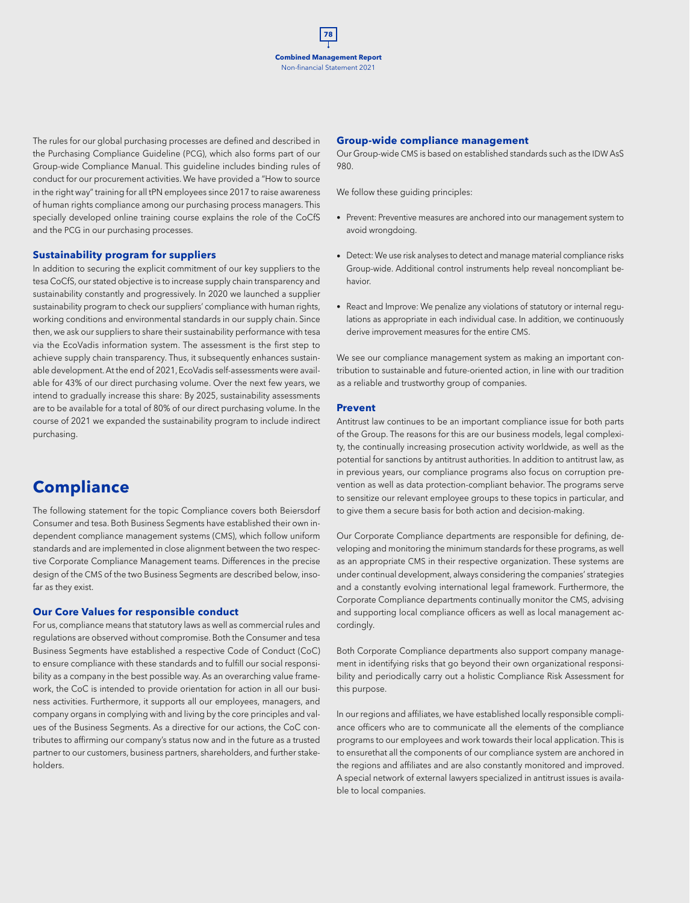The rules for our global purchasing processes are defined and described in the Purchasing Compliance Guideline (PCG), which also forms part of our Group-wide Compliance Manual. This guideline includes binding rules of conduct for our procurement activities. We have provided a "How to source in the right way" training for all tPN employees since 2017 to raise awareness of human rights compliance among our purchasing process managers. This specially developed online training course explains the role of the CoCfS and the PCG in our purchasing processes.

#### **Sustainability program for suppliers**

In addition to securing the explicit commitment of our key suppliers to the tesa CoCfS, our stated objective is to increase supply chain transparency and sustainability constantly and progressively. In 2020 we launched a supplier sustainability program to check our suppliers' compliance with human rights, working conditions and environmental standards in our supply chain. Since then, we ask our suppliers to share their sustainability performance with tesa via the EcoVadis information system. The assessment is the first step to achieve supply chain transparency. Thus, it subsequently enhances sustainable development. At the end of 2021, EcoVadis self-assessments were available for 43% of our direct purchasing volume. Over the next few years, we intend to gradually increase this share: By 2025, sustainability assessments are to be available for a total of 80% of our direct purchasing volume. In the course of 2021 we expanded the sustainability program to include indirect purchasing.

## **Compliance**

The following statement for the topic Compliance covers both Beiersdorf Consumer and tesa. Both Business Segments have established their own independent compliance management systems (CMS), which follow uniform standards and are implemented in close alignment between the two respective Corporate Compliance Management teams. Differences in the precise design of the CMS of the two Business Segments are described below, insofar as they exist.

#### **Our Core Values for responsible conduct**

For us, compliance means that statutory laws as well as commercial rules and regulations are observed without compromise. Both the Consumer and tesa Business Segments have established a respective Code of Conduct (CoC) to ensure compliance with these standards and to fulfill our social responsibility as a company in the best possible way. As an overarching value framework, the CoC is intended to provide orientation for action in all our business activities. Furthermore, it supports all our employees, managers, and company organs in complying with and living by the core principles and values of the Business Segments. As a directive for our actions, the CoC contributes to affirming our company's status now and in the future as a trusted partner to our customers, business partners, shareholders, and further stakeholders.

#### **Group-wide compliance management**

Our Group-wide CMS is based on established standards such as the IDW AsS 980.

We follow these guiding principles:

- Prevent: Preventive measures are anchored into our management system to avoid wrongdoing.
- Detect: We use risk analyses to detect and manage material compliance risks Group-wide. Additional control instruments help reveal noncompliant behavior.
- React and Improve: We penalize any violations of statutory or internal regulations as appropriate in each individual case. In addition, we continuously derive improvement measures for the entire CMS.

We see our compliance management system as making an important contribution to sustainable and future-oriented action, in line with our tradition as a reliable and trustworthy group of companies.

#### **Prevent**

Antitrust law continues to be an important compliance issue for both parts of the Group. The reasons for this are our business models, legal complexity, the continually increasing prosecution activity worldwide, as well as the potential for sanctions by antitrust authorities. In addition to antitrust law, as in previous years, our compliance programs also focus on corruption prevention as well as data protection-compliant behavior. The programs serve to sensitize our relevant employee groups to these topics in particular, and to give them a secure basis for both action and decision-making.

Our Corporate Compliance departments are responsible for defining, developing and monitoring the minimum standards for these programs, as well as an appropriate CMS in their respective organization. These systems are under continual development, always considering the companies' strategies and a constantly evolving international legal framework. Furthermore, the Corporate Compliance departments continually monitor the CMS, advising and supporting local compliance officers as well as local management accordingly.

Both Corporate Compliance departments also support company management in identifying risks that go beyond their own organizational responsibility and periodically carry out a holistic Compliance Risk Assessment for this purpose.

In our regions and affiliates, we have established locally responsible compliance officers who are to communicate all the elements of the compliance programs to our employees and work towards their local application. This is to ensurethat all the components of our compliance system are anchored in the regions and affiliates and are also constantly monitored and improved. A special network of external lawyers specialized in antitrust issues is available to local companies.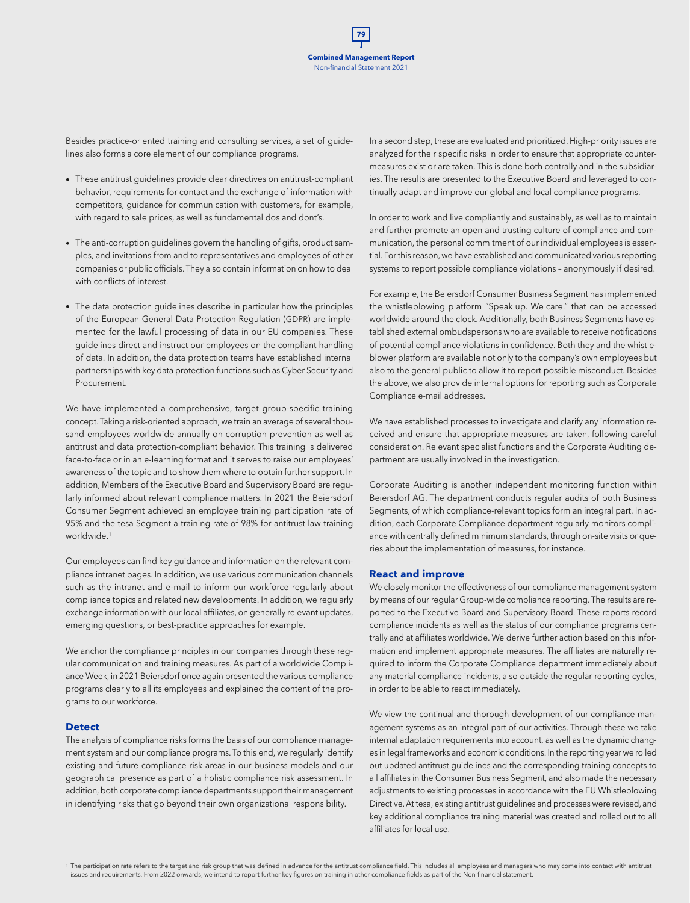Besides practice-oriented training and consulting services, a set of guidelines also forms a core element of our compliance programs.

- These antitrust guidelines provide clear directives on antitrust-compliant behavior, requirements for contact and the exchange of information with competitors, guidance for communication with customers, for example, with regard to sale prices, as well as fundamental dos and dont's.
- The anti-corruption guidelines govern the handling of gifts, product samples, and invitations from and to representatives and employees of other companies or public officials. They also contain information on how to deal with conflicts of interest.
- The data protection guidelines describe in particular how the principles of the European General Data Protection Regulation (GDPR) are implemented for the lawful processing of data in our EU companies. These guidelines direct and instruct our employees on the compliant handling of data. In addition, the data protection teams have established internal partnerships with key data protection functions such as Cyber Security and Procurement.

We have implemented a comprehensive, target group-specific training concept. Taking a risk-oriented approach, we train an average of several thousand employees worldwide annually on corruption prevention as well as antitrust and data protection-compliant behavior. This training is delivered face-to-face or in an e-learning format and it serves to raise our employees' awareness of the topic and to show them where to obtain further support. In addition, Members of the Executive Board and Supervisory Board are regularly informed about relevant compliance matters. In 2021 the Beiersdorf Consumer Segment achieved an employee training participation rate of 95% and the tesa Segment a training rate of 98% for antitrust law training worldwide.1

Our employees can find key guidance and information on the relevant compliance intranet pages. In addition, we use various communication channels such as the intranet and e-mail to inform our workforce regularly about compliance topics and related new developments. In addition, we regularly exchange information with our local affiliates, on generally relevant updates, emerging questions, or best-practice approaches for example.

We anchor the compliance principles in our companies through these regular communication and training measures. As part of a worldwide Compliance Week, in 2021 Beiersdorf once again presented the various compliance programs clearly to all its employees and explained the content of the programs to our workforce.

#### **Detect**

The analysis of compliance risks forms the basis of our compliance management system and our compliance programs. To this end, we regularly identify existing and future compliance risk areas in our business models and our geographical presence as part of a holistic compliance risk assessment. In addition, both corporate compliance departments support their management in identifying risks that go beyond their own organizational responsibility.

In a second step, these are evaluated and prioritized. High-priority issues are analyzed for their specific risks in order to ensure that appropriate countermeasures exist or are taken. This is done both centrally and in the subsidiaries. The results are presented to the Executive Board and leveraged to continually adapt and improve our global and local compliance programs.

In order to work and live compliantly and sustainably, as well as to maintain and further promote an open and trusting culture of compliance and communication, the personal commitment of our individual employees is essential. For this reason, we have established and communicated various reporting systems to report possible compliance violations – anonymously if desired.

For example, the Beiersdorf Consumer Business Segment has implemented the whistleblowing platform "Speak up. We care." that can be accessed worldwide around the clock. Additionally, both Business Segments have established external ombudspersons who are available to receive notifications of potential compliance violations in confidence. Both they and the whistleblower platform are available not only to the company's own employees but also to the general public to allow it to report possible misconduct. Besides the above, we also provide internal options for reporting such as Corporate Compliance e-mail addresses.

We have established processes to investigate and clarify any information received and ensure that appropriate measures are taken, following careful consideration. Relevant specialist functions and the Corporate Auditing department are usually involved in the investigation.

Corporate Auditing is another independent monitoring function within Beiersdorf AG. The department conducts regular audits of both Business Segments, of which compliance-relevant topics form an integral part. In addition, each Corporate Compliance department regularly monitors compliance with centrally defined minimum standards, through on-site visits or queries about the implementation of measures, for instance.

#### **React and improve**

We closely monitor the effectiveness of our compliance management system by means of our regular Group-wide compliance reporting. The results are reported to the Executive Board and Supervisory Board. These reports record compliance incidents as well as the status of our compliance programs centrally and at affiliates worldwide. We derive further action based on this information and implement appropriate measures. The affiliates are naturally required to inform the Corporate Compliance department immediately about any material compliance incidents, also outside the regular reporting cycles, in order to be able to react immediately.

We view the continual and thorough development of our compliance management systems as an integral part of our activities. Through these we take internal adaptation requirements into account, as well as the dynamic changes in legal frameworks and economic conditions. In the reporting year we rolled out updated antitrust guidelines and the corresponding training concepts to all affiliates in the Consumer Business Segment, and also made the necessary adjustments to existing processes in accordance with the EU Whistleblowing Directive. At tesa, existing antitrust guidelines and processes were revised, and key additional compliance training material was created and rolled out to all affiliates for local use.

<sup>1</sup> The participation rate refers to the target and risk group that was defined in advance for the antitrust compliance field. This includes all employees and managers who may come into contact with antitrust issues and requirements. From 2022 onwards, we intend to report further key figures on training in other compliance fields as part of the Non-financial statement.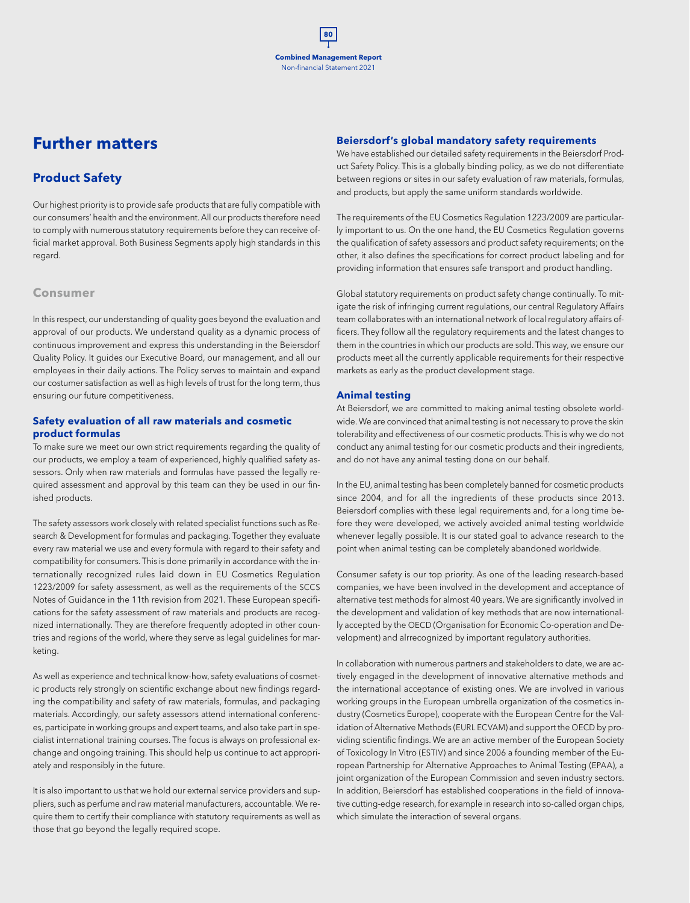## **Further matters**

## **Product Safety**

Our highest priority is to provide safe products that are fully compatible with our consumers' health and the environment. All our products therefore need to comply with numerous statutory requirements before they can receive official market approval. Both Business Segments apply high standards in this regard.

## **Consumer**

In this respect, our understanding of quality goes beyond the evaluation and approval of our products. We understand quality as a dynamic process of continuous improvement and express this understanding in the Beiersdorf Quality Policy. It guides our Executive Board, our management, and all our employees in their daily actions. The Policy serves to maintain and expand our costumer satisfaction as well as high levels of trust for the long term, thus ensuring our future competitiveness.

### **Safety evaluation of all raw materials and cosmetic product formulas**

To make sure we meet our own strict requirements regarding the quality of our products, we employ a team of experienced, highly qualified safety assessors. Only when raw materials and formulas have passed the legally required assessment and approval by this team can they be used in our finished products.

The safety assessors work closely with related specialist functions such as Research & Development for formulas and packaging. Together they evaluate every raw material we use and every formula with regard to their safety and compatibility for consumers. This is done primarily in accordance with the internationally recognized rules laid down in EU Cosmetics Regulation 1223/2009 for safety assessment, as well as the requirements of the SCCS Notes of Guidance in the 11th revision from 2021. These European specifications for the safety assessment of raw materials and products are recognized internationally. They are therefore frequently adopted in other countries and regions of the world, where they serve as legal guidelines for marketing.

As well as experience and technical know-how, safety evaluations of cosmetic products rely strongly on scientific exchange about new findings regarding the compatibility and safety of raw materials, formulas, and packaging materials. Accordingly, our safety assessors attend international conferences, participate in working groups and expert teams, and also take part in specialist international training courses. The focus is always on professional exchange and ongoing training. This should help us continue to act appropriately and responsibly in the future.

It is also important to us that we hold our external service providers and suppliers, such as perfume and raw material manufacturers, accountable. We require them to certify their compliance with statutory requirements as well as those that go beyond the legally required scope.

### **Beiersdorf's global mandatory safety requirements**

We have established our detailed safety requirements in the Beiersdorf Product Safety Policy. This is a globally binding policy, as we do not differentiate between regions or sites in our safety evaluation of raw materials, formulas, and products, but apply the same uniform standards worldwide.

The requirements of the EU Cosmetics Regulation 1223/2009 are particularly important to us. On the one hand, the EU Cosmetics Regulation governs the qualification of safety assessors and product safety requirements; on the other, it also defines the specifications for correct product labeling and for providing information that ensures safe transport and product handling.

Global statutory requirements on product safety change continually. To mitigate the risk of infringing current regulations, our central Regulatory Affairs team collaborates with an international network of local regulatory affairs officers. They follow all the regulatory requirements and the latest changes to them in the countries in which our products are sold. This way, we ensure our products meet all the currently applicable requirements for their respective markets as early as the product development stage.

### **Animal testing**

At Beiersdorf, we are committed to making animal testing obsolete worldwide. We are convinced that animal testing is not necessary to prove the skin tolerability and effectiveness of our cosmetic products. This is why we do not conduct any animal testing for our cosmetic products and their ingredients, and do not have any animal testing done on our behalf.

In the EU, animal testing has been completely banned for cosmetic products since 2004, and for all the ingredients of these products since 2013. Beiersdorf complies with these legal requirements and, for a long time before they were developed, we actively avoided animal testing worldwide whenever legally possible. It is our stated goal to advance research to the point when animal testing can be completely abandoned worldwide.

Consumer safety is our top priority. As one of the leading research-based companies, we have been involved in the development and acceptance of alternative test methods for almost 40 years. We are significantly involved in the development and validation of key methods that are now internationally accepted by the OECD (Organisation for Economic Co-operation and Development) and alrrecognized by important regulatory authorities.

In collaboration with numerous partners and stakeholders to date, we are actively engaged in the development of innovative alternative methods and the international acceptance of existing ones. We are involved in various working groups in the European umbrella organization of the cosmetics industry (Cosmetics Europe), cooperate with the European Centre for the Validation of Alternative Methods (EURL ECVAM) and support the OECD by providing scientific findings. We are an active member of the European Society of Toxicology In Vitro (ESTIV) and since 2006 a founding member of the European Partnership for Alternative Approaches to Animal Testing (EPAA), a joint organization of the European Commission and seven industry sectors. In addition, Beiersdorf has established cooperations in the field of innovative cutting-edge research, for example in research into so-called organ chips, which simulate the interaction of several organs.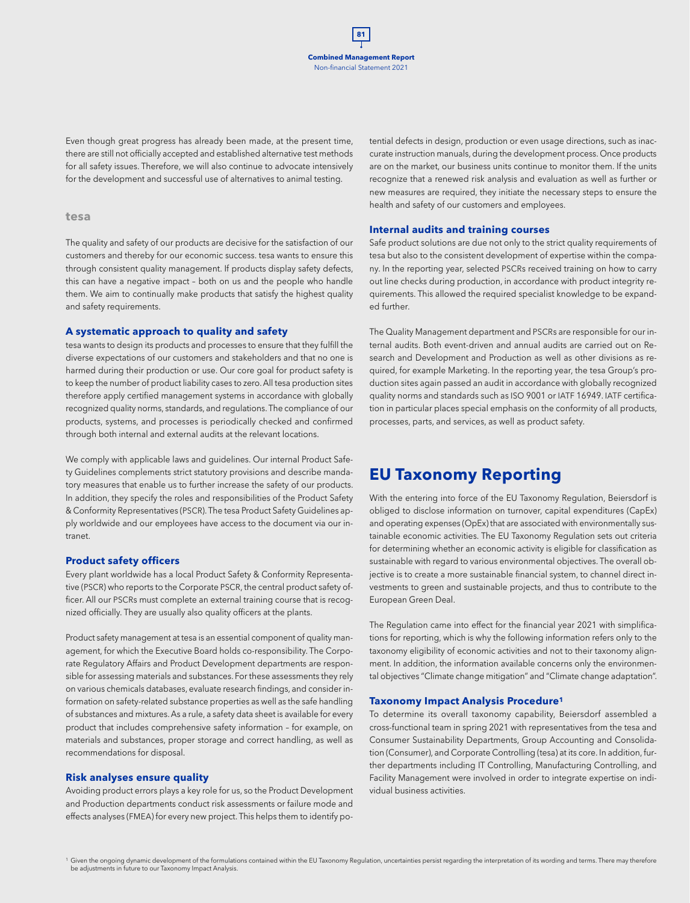Even though great progress has already been made, at the present time, there are still not officially accepted and established alternative test methods for all safety issues. Therefore, we will also continue to advocate intensively for the development and successful use of alternatives to animal testing.

#### **tesa**

The quality and safety of our products are decisive for the satisfaction of our customers and thereby for our economic success. tesa wants to ensure this through consistent quality management. If products display safety defects, this can have a negative impact – both on us and the people who handle them. We aim to continually make products that satisfy the highest quality and safety requirements.

#### **A systematic approach to quality and safety**

tesa wants to design its products and processes to ensure that they fulfill the diverse expectations of our customers and stakeholders and that no one is harmed during their production or use. Our core goal for product safety is to keep the number of product liability cases to zero. All tesa production sites therefore apply certified management systems in accordance with globally recognized quality norms, standards, and regulations. The compliance of our products, systems, and processes is periodically checked and confirmed through both internal and external audits at the relevant locations.

We comply with applicable laws and guidelines. Our internal Product Safety Guidelines complements strict statutory provisions and describe mandatory measures that enable us to further increase the safety of our products. In addition, they specify the roles and responsibilities of the Product Safety & Conformity Representatives (PSCR). The tesa Product Safety Guidelines apply worldwide and our employees have access to the document via our intranet.

#### **Product safety officers**

Every plant worldwide has a local Product Safety & Conformity Representative (PSCR) who reports to the Corporate PSCR, the central product safety officer. All our PSCRs must complete an external training course that is recognized officially. They are usually also quality officers at the plants.

Product safety management at tesa is an essential component of quality management, for which the Executive Board holds co-responsibility. The Corporate Regulatory Affairs and Product Development departments are responsible for assessing materials and substances. For these assessments they rely on various chemicals databases, evaluate research findings, and consider information on safety-related substance properties as well as the safe handling of substances and mixtures. As a rule, a safety data sheet is available for every product that includes comprehensive safety information – for example, on materials and substances, proper storage and correct handling, as well as recommendations for disposal.

#### **Risk analyses ensure quality**

Avoiding product errors plays a key role for us, so the Product Development and Production departments conduct risk assessments or failure mode and effects analyses (FMEA) for every new project. This helps them to identify potential defects in design, production or even usage directions, such as inaccurate instruction manuals, during the development process. Once products are on the market, our business units continue to monitor them. If the units recognize that a renewed risk analysis and evaluation as well as further or new measures are required, they initiate the necessary steps to ensure the health and safety of our customers and employees.

#### **Internal audits and training courses**

Safe product solutions are due not only to the strict quality requirements of tesa but also to the consistent development of expertise within the company. In the reporting year, selected PSCRs received training on how to carry out line checks during production, in accordance with product integrity requirements. This allowed the required specialist knowledge to be expanded further.

The Quality Management department and PSCRs are responsible for our internal audits. Both event-driven and annual audits are carried out on Research and Development and Production as well as other divisions as required, for example Marketing. In the reporting year, the tesa Group's production sites again passed an audit in accordance with globally recognized quality norms and standards such as ISO 9001 or IATF 16949. IATF certification in particular places special emphasis on the conformity of all products, processes, parts, and services, as well as product safety.

## **EU Taxonomy Reporting**

With the entering into force of the EU Taxonomy Regulation, Beiersdorf is obliged to disclose information on turnover, capital expenditures (CapEx) and operating expenses (OpEx) that are associated with environmentally sustainable economic activities. The EU Taxonomy Regulation sets out criteria for determining whether an economic activity is eligible for classification as sustainable with regard to various environmental objectives. The overall objective is to create a more sustainable financial system, to channel direct investments to green and sustainable projects, and thus to contribute to the European Green Deal.

The Regulation came into effect for the financial year 2021 with simplifications for reporting, which is why the following information refers only to the taxonomy eligibility of economic activities and not to their taxonomy alignment. In addition, the information available concerns only the environmental objectives "Climate change mitigation" and "Climate change adaptation".

#### **Taxonomy Impact Analysis Procedure1**

To determine its overall taxonomy capability, Beiersdorf assembled a cross-functional team in spring 2021 with representatives from the tesa and Consumer Sustainability Departments, Group Accounting and Consolidation (Consumer), and Corporate Controlling (tesa) at its core. In addition, further departments including IT Controlling, Manufacturing Controlling, and Facility Management were involved in order to integrate expertise on individual business activities.

<sup>1</sup> Given the ongoing dynamic development of the formulations contained within the EU Taxonomy Regulation, uncertainties persist regarding the interpretation of its wording and terms. There may therefore be adjustments in future to our Taxonomy Impact Analysis.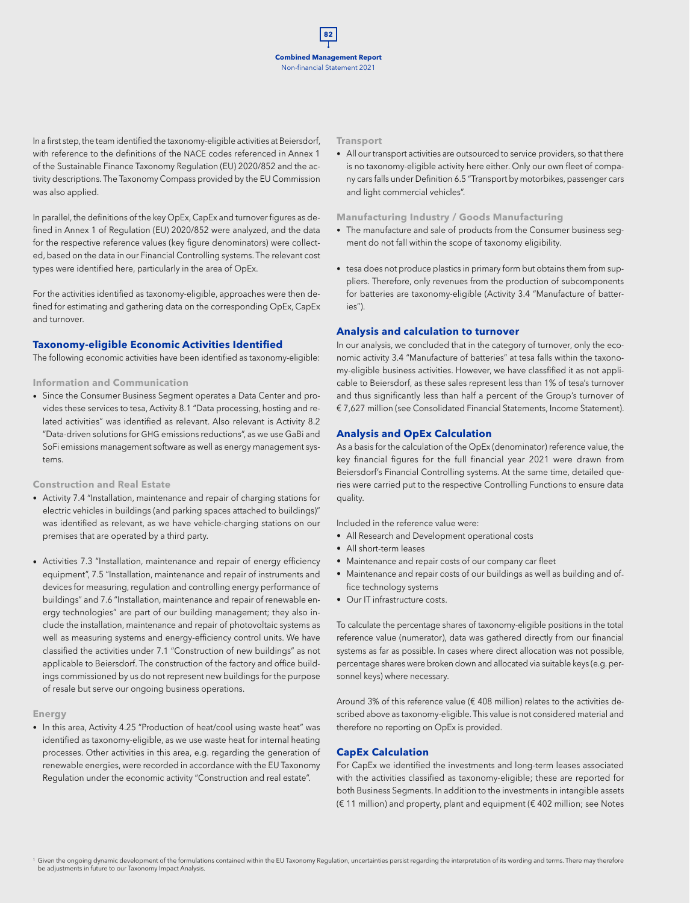In a first step, the team identified the taxonomy-eligible activities at Beiersdorf, with reference to the definitions of the NACE codes referenced in Annex 1 of the Sustainable Finance Taxonomy Regulation (EU) 2020/852 and the activity descriptions. The Taxonomy Compass provided by the EU Commission was also applied.

In parallel, the definitions of the key OpEx, CapEx and turnover figures as defined in Annex 1 of Regulation (EU) 2020/852 were analyzed, and the data for the respective reference values (key figure denominators) were collected, based on the data in our Financial Controlling systems. The relevant cost types were identified here, particularly in the area of OpEx.

For the activities identified as taxonomy-eligible, approaches were then defined for estimating and gathering data on the corresponding OpEx, CapEx and turnover.

#### **Taxonomy-eligible Economic Activities Identified**

The following economic activities have been identified as taxonomy-eligible:

#### **Information and Communication**

• Since the Consumer Business Segment operates a Data Center and provides these services to tesa, Activity 8.1 "Data processing, hosting and related activities" was identified as relevant. Also relevant is Activity 8.2 "Data-driven solutions for GHG emissions reductions", as we use GaBi and SoFi emissions management software as well as energy management systems.

**Construction and Real Estate**

- Activity 7.4 "Installation, maintenance and repair of charging stations for electric vehicles in buildings (and parking spaces attached to buildings)" was identified as relevant, as we have vehicle-charging stations on our premises that are operated by a third party.
- Activities 7.3 "Installation, maintenance and repair of energy efficiency equipment", 7.5 "Installation, maintenance and repair of instruments and devices for measuring, regulation and controlling energy performance of buildings" and 7.6 "Installation, maintenance and repair of renewable energy technologies" are part of our building management; they also include the installation, maintenance and repair of photovoltaic systems as well as measuring systems and energy-efficiency control units. We have classified the activities under 7.1 "Construction of new buildings" as not applicable to Beiersdorf. The construction of the factory and office buildings commissioned by us do not represent new buildings for the purpose of resale but serve our ongoing business operations.

#### **Energy**

• In this area, Activity 4.25 "Production of heat/cool using waste heat" was identified as taxonomy-eligible, as we use waste heat for internal heating processes. Other activities in this area, e.g. regarding the generation of renewable energies, were recorded in accordance with the EU Taxonomy Regulation under the economic activity "Construction and real estate".

#### **Transport**

• All our transport activities are outsourced to service providers, so that there is no taxonomy-eligible activity here either. Only our own fleet of company cars falls under Definition 6.5 "Transport by motorbikes, passenger cars and light commercial vehicles".

#### **Manufacturing Industry / Goods Manufacturing**

- The manufacture and sale of products from the Consumer business segment do not fall within the scope of taxonomy eligibility.
- tesa does not produce plastics in primary form but obtains them from suppliers. Therefore, only revenues from the production of subcomponents for batteries are taxonomy-eligible (Activity 3.4 "Manufacture of batteries").

#### **Analysis and calculation to turnover**

In our analysis, we concluded that in the category of turnover, only the economic activity 3.4 "Manufacture of batteries" at tesa falls within the taxonomy-eligible business activities. However, we have classfified it as not applicable to Beiersdorf, as these sales represent less than 1% of tesa's turnover and thus significantly less than half a percent of the Group's turnover of € 7,627 million (see Consolidated Financial Statements, Income Statement).

### **Analysis and OpEx Calculation**

As a basis for the calculation of the OpEx (denominator) reference value, the key financial figures for the full financial year 2021 were drawn from Beiersdorf's Financial Controlling systems. At the same time, detailed queries were carried put to the respective Controlling Functions to ensure data quality.

Included in the reference value were:

- All Research and Development operational costs
- All short-term leases
- Maintenance and repair costs of our company car fleet
- Maintenance and repair costs of our buildings as well as building and office technology systems
- Our IT infrastructure costs.

To calculate the percentage shares of taxonomy-eligible positions in the total reference value (numerator), data was gathered directly from our financial systems as far as possible. In cases where direct allocation was not possible, percentage shares were broken down and allocated via suitable keys (e.g. personnel keys) where necessary.

Around 3% of this reference value (€ 408 million) relates to the activities described above as taxonomy-eligible. This value is not considered material and therefore no reporting on OpEx is provided.

#### **CapEx Calculation**

For CapEx we identified the investments and long-term leases associated with the activities classified as taxonomy-eligible; these are reported for both Business Segments. In addition to the investments in intangible assets (€ 11 million) and property, plant and equipment (€ 402 million; see Notes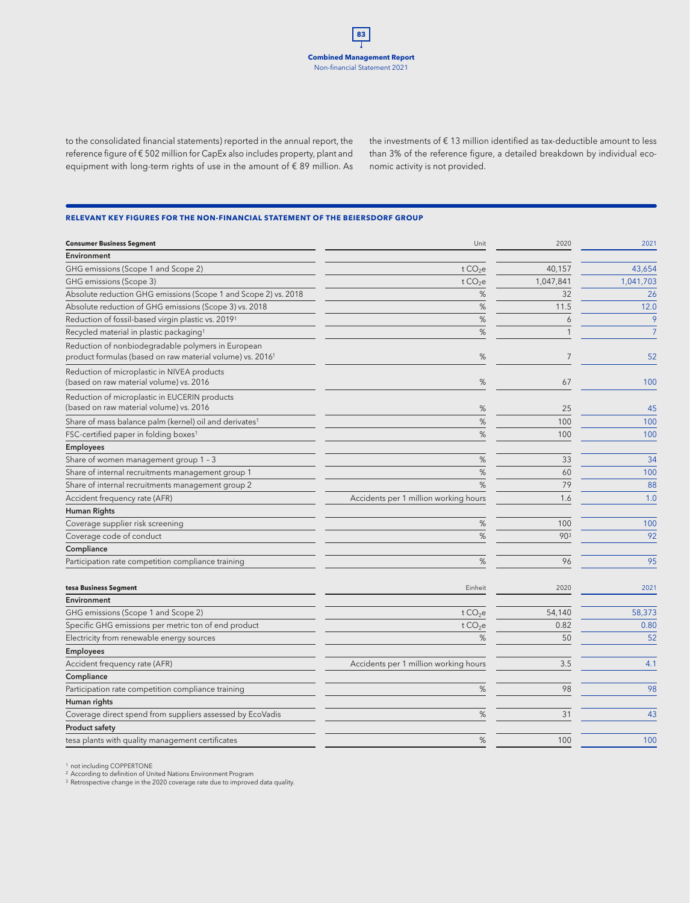to the consolidated financial statements) reported in the annual report, the reference figure of € 502 million for CapEx also includes property, plant and equipment with long-term rights of use in the amount of € 89 million. As the investments of  $\epsilon$  13 million identified as tax-deductible amount to less than 3% of the reference figure, a detailed breakdown by individual economic activity is not provided.

#### **RELEVANT KEY FIGURES FOR THE NON-FINANCIAL STATEMENT OF THE BEIERSDORF GROUP**

| <b>Consumer Business Segment</b>                                                                                            | Unit                                  | 2020           | 2021           |
|-----------------------------------------------------------------------------------------------------------------------------|---------------------------------------|----------------|----------------|
| Environment                                                                                                                 |                                       |                |                |
| GHG emissions (Scope 1 and Scope 2)                                                                                         | t CO <sub>2</sub> e                   | 40,157         | 43,654         |
| GHG emissions (Scope 3)                                                                                                     | t CO <sub>2</sub> e                   | 1,047,841      | 1,041,703      |
| Absolute reduction GHG emissions (Scope 1 and Scope 2) vs. 2018                                                             | %                                     | 32             | 26             |
| Absolute reduction of GHG emissions (Scope 3) vs. 2018                                                                      | %                                     | 11.5           | 12.0           |
| Reduction of fossil-based virgin plastic vs. 20191                                                                          | %                                     | 6              | 9              |
| Recycled material in plastic packaging <sup>1</sup>                                                                         | $\%$                                  | $\mathbf{1}$   | $\overline{7}$ |
| Reduction of nonbiodegradable polymers in European<br>product formulas (based on raw material volume) vs. 2016 <sup>1</sup> | %                                     | $\overline{7}$ | 52             |
| Reduction of microplastic in NIVEA products<br>(based on raw material volume) vs. 2016                                      | %                                     | 67             | 100            |
| Reduction of microplastic in EUCERIN products<br>(based on raw material volume) vs. 2016                                    | %                                     | 25             | 45             |
| Share of mass balance palm (kernel) oil and derivates <sup>1</sup>                                                          | %                                     | 100            | 100            |
| FSC-certified paper in folding boxes <sup>1</sup>                                                                           | %                                     | 100            | 100            |
| <b>Employees</b>                                                                                                            |                                       |                |                |
| Share of women management group 1 - 3                                                                                       | %                                     | 33             | 34             |
| Share of internal recruitments management group 1                                                                           | %                                     | 60             | 100            |
| Share of internal recruitments management group 2                                                                           | %                                     | 79             | 88             |
| Accident frequency rate (AFR)                                                                                               | Accidents per 1 million working hours | 1.6            | 1.0            |
| Human Rights                                                                                                                |                                       |                |                |
| Coverage supplier risk screening                                                                                            | %                                     | 100            | 100            |
| Coverage code of conduct                                                                                                    | %                                     | 903            | 92             |
| Compliance                                                                                                                  |                                       |                |                |
| Participation rate competition compliance training                                                                          | %                                     | 96             | 95             |
| tesa Business Segment                                                                                                       | Einheit                               | 2020           | 2021           |
| Environment                                                                                                                 |                                       |                |                |
| GHG emissions (Scope 1 and Scope 2)                                                                                         | t CO <sub>2</sub> e                   | 54,140         | 58,373         |
| Specific GHG emissions per metric ton of end product                                                                        | t CO <sub>2</sub> e                   | 0.82           | 0.80           |
| Electricity from renewable energy sources                                                                                   | %                                     | 50             | 52             |
| <b>Employees</b>                                                                                                            |                                       |                |                |
| Accident frequency rate (AFR)                                                                                               | Accidents per 1 million working hours | 3.5            | 4.1            |
| Compliance                                                                                                                  |                                       |                |                |
| Participation rate competition compliance training                                                                          | %                                     | 98             | 98             |
| Human rights                                                                                                                |                                       |                |                |
| Coverage direct spend from suppliers assessed by EcoVadis                                                                   | %                                     | 31             | 43             |
| <b>Product safety</b>                                                                                                       |                                       |                |                |
| tesa plants with quality management certificates                                                                            | %                                     | 100            | 100            |

<sup>1</sup> not including COPPERTONE<br><sup>2</sup> According to definition of United Nations Environment Program

<sup>3</sup> Retrospective change in the 2020 coverage rate due to improved data quality.